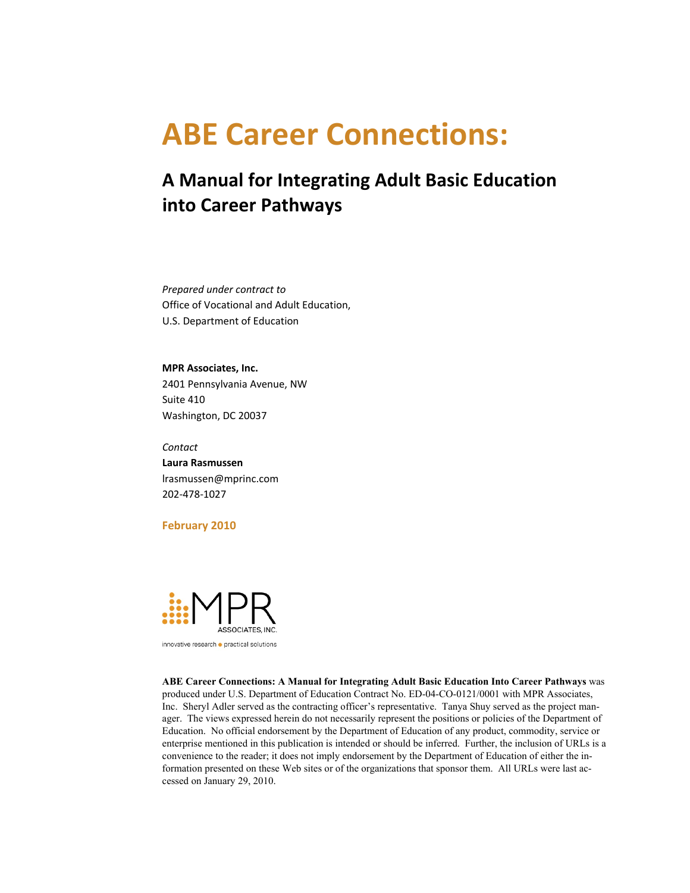# **ABE Career Connections:**

## **A Manual for Integrating Adult Basic Education into Career Pathways**

 *Prepared under contract to* Office of Vocational and Adult Education, U.S. Department of Education

 **MPR Associates, Inc.** 2401 Pennsylvania Avenue, NW Suite 410 Washington, DC 20037

 **Laura Rasmussen** *Contact* lrasmussen@mprinc.com 202‐478‐1027

#### **February 2010**



innovative research · practical solutions

 enterprise mentioned in this publication is intended or should be inferred. Further, the inclusion of URLs is a cessed on January 29, 2010. **ABE Career Connections: A Manual for Integrating Adult Basic Education Into Career Pathways** was produced under U.S. Department of Education Contract No. ED-04-CO-0121/0001 with MPR Associates, Inc. Sheryl Adler served as the contracting officer's representative. Tanya Shuy served as the project manager. The views expressed herein do not necessarily represent the positions or policies of the Department of Education. No official endorsement by the Department of Education of any product, commodity, service or convenience to the reader; it does not imply endorsement by the Department of Education of either the information presented on these Web sites or of the organizations that sponsor them. All URLs were last ac-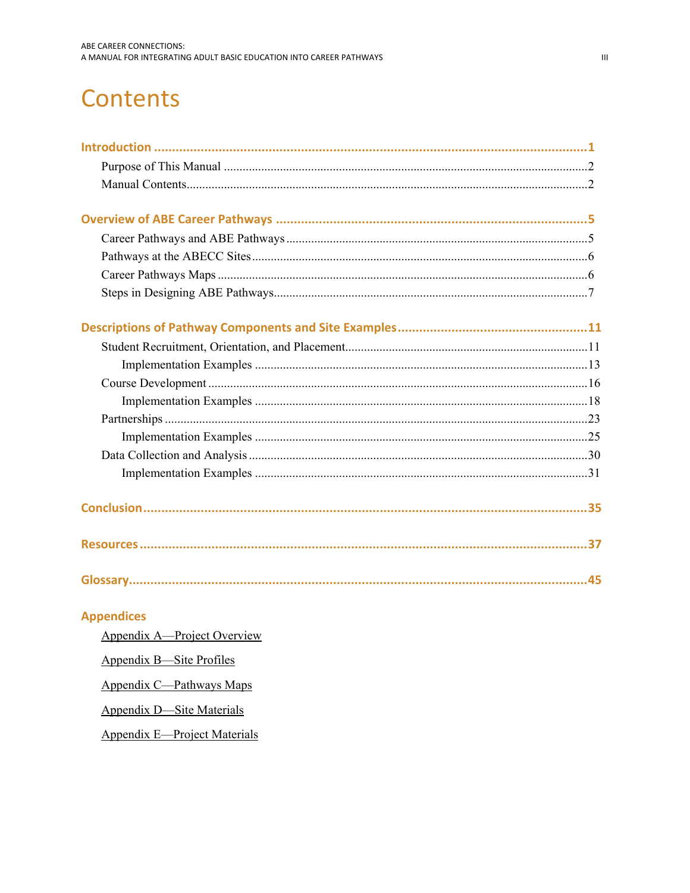# **Contents**

| <b>Appendices</b>           |  |
|-----------------------------|--|
| Appendix A—Project Overview |  |
| Appendix B—Site Profiles    |  |

Appendix C-Pathways Maps

**Appendix D-Site Materials** 

**Appendix E-Project Materials**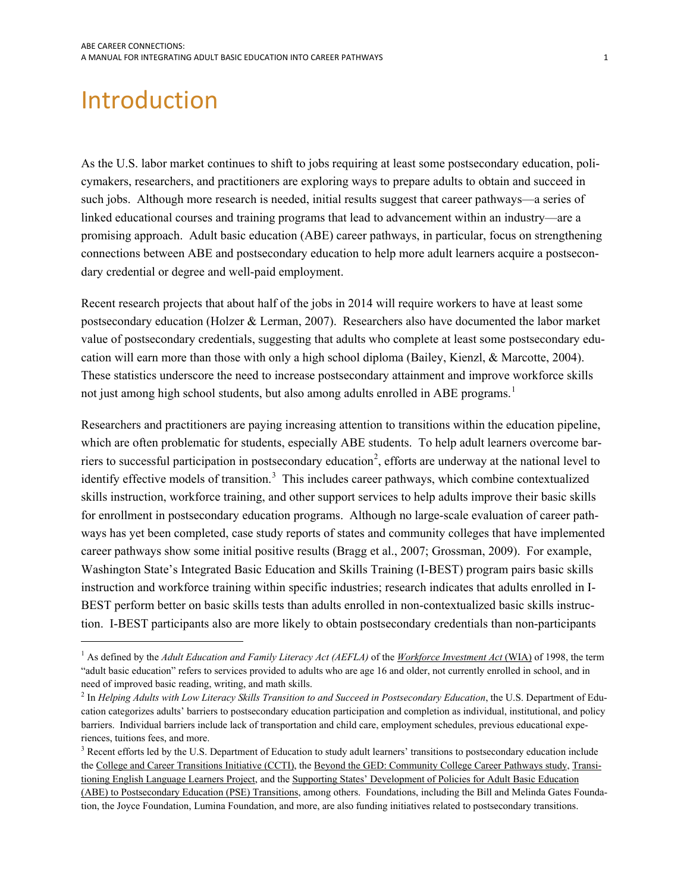# <span id="page-2-1"></span><span id="page-2-0"></span>Introduction

<sup>-</sup>

As the U.S. labor market continues to shift to jobs requiring at least some postsecondary education, policymakers, researchers, and practitioners are exploring ways to prepare adults to obtain and succeed in such jobs. Although more research is needed, initial results suggest that career pathways—a series of linked educational courses and training programs that lead to advancement within an industry—are a promising approach. Adult basic education (ABE) career pathways, in particular, focus on strengthening connections between ABE and postsecondary education to help more adult learners acquire a postsecondary credential or degree and well-paid employment.

cation will earn more than those with only a high school diploma (Bailey, Kienzl, & Marcotte, 2004). not just among high school students, but also among adults enrolled in ABE programs.<sup>1</sup> Recent research projects that about half of the jobs in 2014 will require workers to have at least some postsecondary education (Holzer & Lerman, 2007). Researchers also have documented the labor market value of postsecondary credentials, suggesting that adults who complete at least some postsecondary edu-These statistics underscore the need to increase postsecondary attainment and improve workforce skills

identify effective models of transition.<sup>3</sup> This includes career pathways, which combine contextualized Researchers and practitioners are paying increasing attention to transitions within the education pipeline, which are often problematic for students, especially ABE students. To help adult learners overcome bar-riers to successful participation in postsecondary education<sup>[2](#page-2-3)</sup>, efforts are underway at the national level to skills instruction, workforce training, and other support services to help adults improve their basic skills for enrollment in postsecondary education programs. Although no large-scale evaluation of career pathways has yet been completed, case study reports of states and community colleges that have implemented career pathways show some initial positive results (Bragg et al., 2007; Grossman, 2009). For example, Washington State's Integrated Basic Education and Skills Training (I-BEST) program pairs basic skills instruction and workforce training within specific industries; research indicates that adults enrolled in I-BEST perform better on basic skills tests than adults enrolled in non-contextualized basic skills instruction. I-BEST participants also are more likely to obtain postsecondary credentials than non-participants

<span id="page-2-2"></span>need of improved basic reading, writing, and math skills.<br><sup>2</sup> In Helping Adults with Low Literacy Skills Transition to <sup>1</sup> As defined by the *Adult Education and Family Literacy Act (AEFLA)* of the *Workforce Investment Act* (WIA) of 1998, the term "adult basic education" refers to services provided to adults who are age 16 and older, not currently enrolled in school, and in

<span id="page-2-3"></span> barriers. Individual barriers include lack of transportation and child care, employment schedules, previous educational expe-<sup>2</sup> In *Helping Adults with Low Literacy Skills Transition to and Succeed in Postsecondary Education*, the U.S. Department of Education categorizes adults' barriers to postsecondary education participation and completion as individual, institutional, and policy riences, tuitions fees, and more.

<span id="page-2-4"></span> tion, the Joyce Foundation, Lumina Foundation, and more, are also funding initiatives related to postsecondary transitions. <sup>3</sup> Recent efforts led by the U.S. Department of Education to study adult learners' transitions to postsecondary education include the College and Career Transitions Initiative (CCTI), the Beyond the GED: Community College Career Pathways study, Transitioning English Language Learners Project, and the Supporting States' Development of Policies for Adult Basic Education (ABE) to Postsecondary Education (PSE) Transitions, among others. Foundations, including the Bill and Melinda Gates Founda-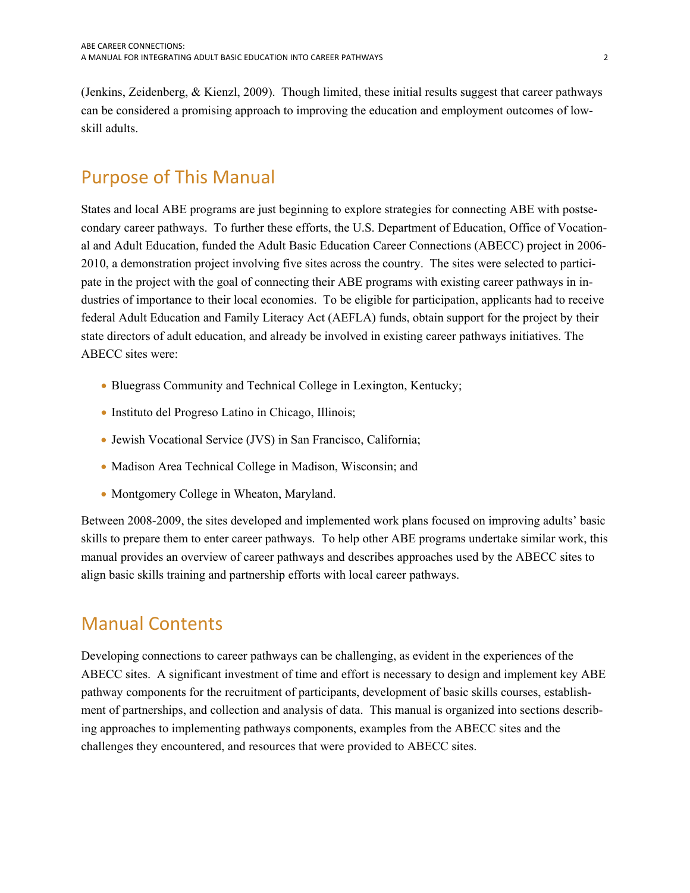<span id="page-3-0"></span>(Jenkins, Zeidenberg, & Kienzl, 2009). Though limited, these initial results suggest that career pathways can be considered a promising approach to improving the education and employment outcomes of lowskill adults.

## <span id="page-3-1"></span>Purpose of This Manual

States and local ABE programs are just beginning to explore strategies for connecting ABE with postsecondary career pathways. To further these efforts, the U.S. Department of Education, Office of Vocational and Adult Education, funded the Adult Basic Education Career Connections (ABECC) project in 2006- 2010, a demonstration project involving five sites across the country. The sites were selected to participate in the project with the goal of connecting their ABE programs with existing career pathways in industries of importance to their local economies. To be eligible for participation, applicants had to receive federal Adult Education and Family Literacy Act (AEFLA) funds, obtain support for the project by their state directors of adult education, and already be involved in existing career pathways initiatives. The ABECC sites were:

- Bluegrass Community and Technical College in Lexington, Kentucky;
- Instituto del Progreso Latino in Chicago, Illinois;
- Jewish Vocational Service (JVS) in San Francisco, California;
- Madison Area Technical College in Madison, Wisconsin; and
- Montgomery College in Wheaton, Maryland.

Between 2008-2009, the sites developed and implemented work plans focused on improving adults' basic skills to prepare them to enter career pathways. To help other ABE programs undertake similar work, this manual provides an overview of career pathways and describes approaches used by the ABECC sites to align basic skills training and partnership efforts with local career pathways.

## <span id="page-3-2"></span>Manual Contents

Developing connections to career pathways can be challenging, as evident in the experiences of the ABECC sites. A significant investment of time and effort is necessary to design and implement key ABE pathway components for the recruitment of participants, development of basic skills courses, establishment of partnerships, and collection and analysis of data. This manual is organized into sections describing approaches to implementing pathways components, examples from the ABECC sites and the challenges they encountered, and resources that were provided to ABECC sites.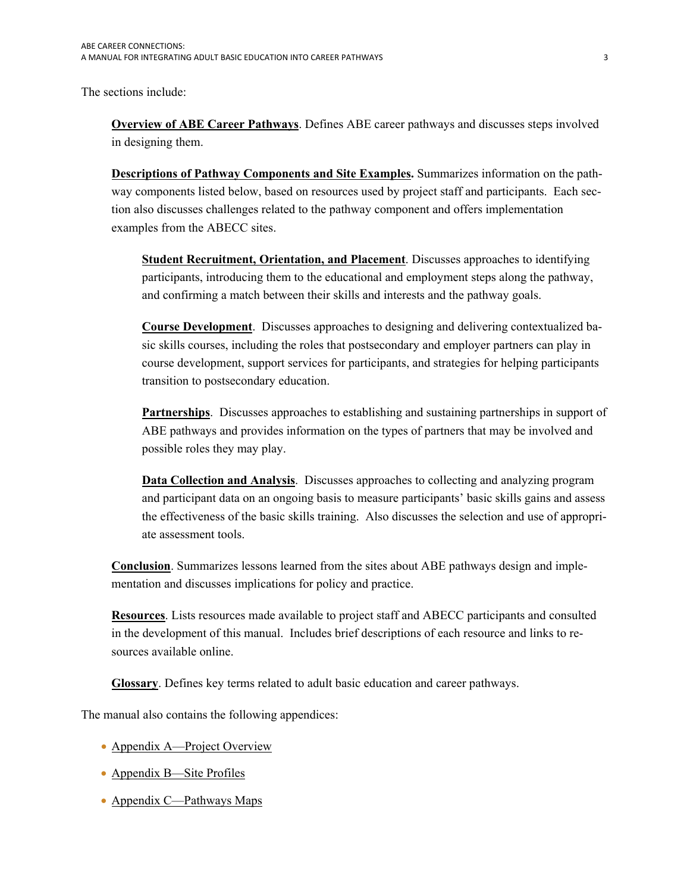The sections include:

**[Overview of ABE Career Pathways](#page-6-0)**. Defines ABE career pathways and discusses steps involved in designing them.

**[Descriptions of Pathway Components and Site Examples.](#page-12-0)** Summarizes information on the pathway components listed below, based on resources used by project staff and participants. Each section also discusses challenges related to the pathway component and offers implementation examples from the ABECC sites.

**[Student Recruitment, Orientation, and Placement](#page-12-0)**. Discusses approaches to identifying participants, introducing them to the educational and employment steps along the pathway, and confirming a match between their skills and interests and the pathway goals.

**[Course Development](#page-17-0)**. Discusses approaches to designing and delivering contextualized basic skills courses, including the roles that postsecondary and employer partners can play in course development, support services for participants, and strategies for helping participants transition to postsecondary education.

**[Partnerships](#page-24-0)**. Discusses approaches to establishing and sustaining partnerships in support of ABE pathways and provides information on the types of partners that may be involved and possible roles they may play.

**[Data Collection and Analysis](#page-31-0)**. Discusses approaches to collecting and analyzing program and participant data on an ongoing basis to measure participants' basic skills gains and assess the effectiveness of the basic skills training. Also discusses the selection and use of appropriate assessment tools.

**[Conclusion](#page-36-0)**. Summarizes lessons learned from the sites about ABE pathways design and implementation and discusses implications for policy and practice.

**[Resources](#page-38-0)**. Lists resources made available to project staff and ABECC participants and consulted in the development of this manual. Includes brief descriptions of each resource and links to resources available online.

**[Glossary](#page-46-0)**. Defines key terms related to adult basic education and career pathways.

The manual also contains the following appendices:

- Appendix A—Project Overview
- Appendix B—Site Profiles
- Appendix C—Pathways Maps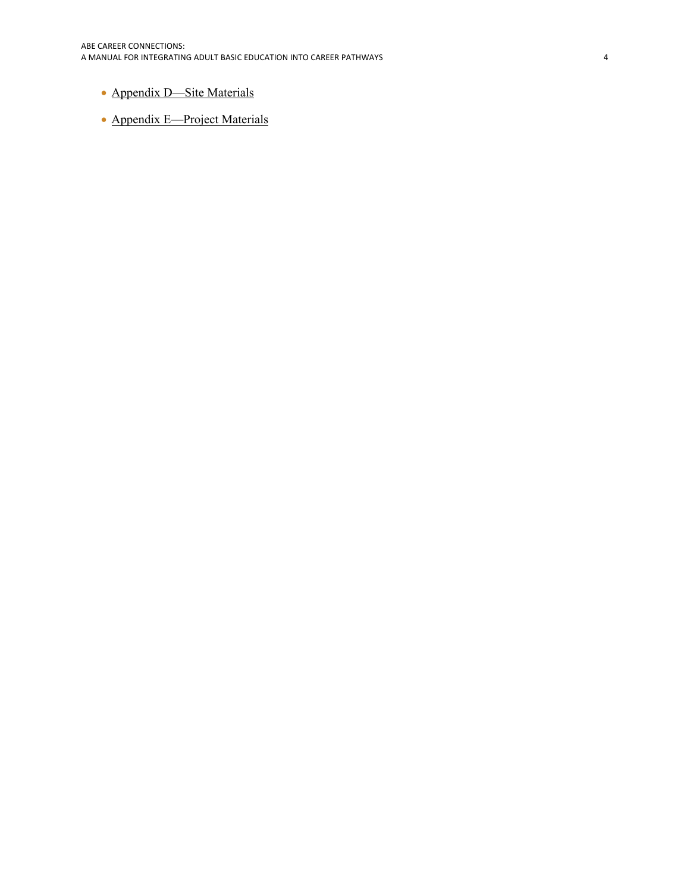## • Appendix D—Site Materials

• Appendix E—Project Materials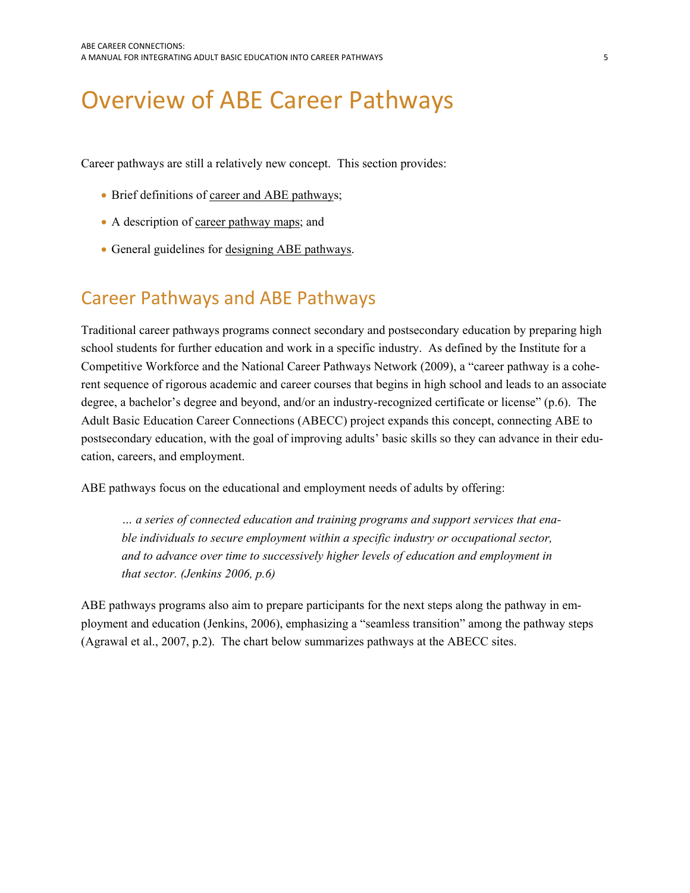# <span id="page-6-1"></span><span id="page-6-0"></span>Overview of ABE Career Pathways

Career pathways are still a relatively new concept. This section provides:

- Brief definitions of [career and ABE pathway](#page-6-0)s;
- A description of [career pathway maps](#page-7-0); and
- General guidelines for [designing ABE pathways.](#page-8-0)

## <span id="page-6-2"></span>Career Pathways and ABE Pathways

Traditional career pathways programs connect secondary and postsecondary education by preparing high school students for further education and work in a specific industry. As defined by the Institute for a Competitive Workforce and the National Career Pathways Network (2009), a "career pathway is a coherent sequence of rigorous academic and career courses that begins in high school and leads to an associate degree, a bachelor's degree and beyond, and/or an industry-recognized certificate or license" (p.6). The Adult Basic Education Career Connections (ABECC) project expands this concept, connecting ABE to postsecondary education, with the goal of improving adults' basic skills so they can advance in their education, careers, and employment.

ABE pathways focus on the educational and employment needs of adults by offering:

*… a series of connected education and training programs and support services that enable individuals to secure employment within a specific industry or occupational sector, and to advance over time to successively higher levels of education and employment in that sector. (Jenkins 2006, p.6)* 

ABE pathways programs also aim to prepare participants for the next steps along the pathway in employment and education (Jenkins, 2006), emphasizing a "seamless transition" among the pathway steps (Agrawal et al., 2007, p.2). The chart below summarizes pathways at the ABECC sites.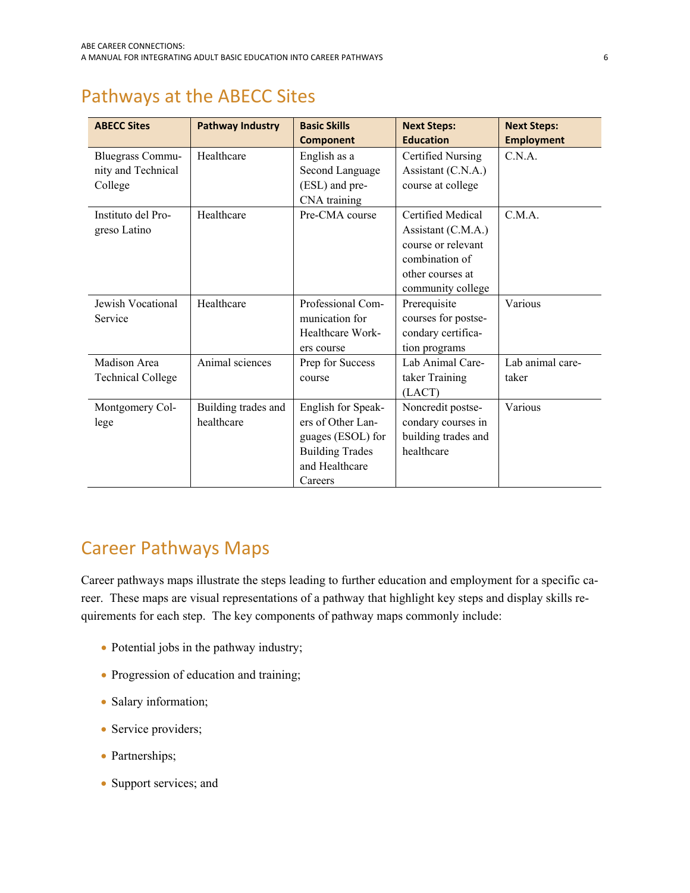## <span id="page-7-1"></span><span id="page-7-0"></span>Pathways at the ABECC Sites

| <b>ABECC Sites</b>       | <b>Pathway Industry</b> | <b>Basic Skills</b>    | <b>Next Steps:</b>  | <b>Next Steps:</b> |
|--------------------------|-------------------------|------------------------|---------------------|--------------------|
|                          |                         | <b>Component</b>       | <b>Education</b>    | <b>Employment</b>  |
| <b>Bluegrass Commu-</b>  | Healthcare              | English as a           | Certified Nursing   | C.N.A.             |
| nity and Technical       |                         | Second Language        | Assistant (C.N.A.)  |                    |
| College                  |                         | (ESL) and pre-         | course at college   |                    |
|                          |                         | CNA training           |                     |                    |
| Instituto del Pro-       | Healthcare              | Pre-CMA course         | Certified Medical   | CMA                |
| greso Latino             |                         |                        | Assistant (C.M.A.)  |                    |
|                          |                         |                        | course or relevant  |                    |
|                          |                         |                        | combination of      |                    |
|                          |                         |                        | other courses at    |                    |
|                          |                         |                        | community college   |                    |
| Jewish Vocational        | Healthcare              | Professional Com-      | Prerequisite        | Various            |
| Service                  |                         | munication for         | courses for postse- |                    |
|                          |                         | Healthcare Work-       | condary certifica-  |                    |
|                          |                         | ers course             | tion programs       |                    |
| Madison Area             | Animal sciences         | Prep for Success       | Lab Animal Care-    | Lab animal care-   |
| <b>Technical College</b> |                         | course                 | taker Training      | taker              |
|                          |                         |                        | (LACT)              |                    |
| Montgomery Col-          | Building trades and     | English for Speak-     | Noncredit postse-   | Various            |
| lege                     | healthcare              | ers of Other Lan-      | condary courses in  |                    |
|                          |                         | guages (ESOL) for      | building trades and |                    |
|                          |                         | <b>Building Trades</b> | healthcare          |                    |
|                          |                         | and Healthcare         |                     |                    |
|                          |                         | Careers                |                     |                    |

## <span id="page-7-2"></span>Career Pathways Maps

Career pathways maps illustrate the steps leading to further education and employment for a specific career. These maps are visual representations of a pathway that highlight key steps and display skills requirements for each step. The key components of pathway maps commonly include:

- Potential jobs in the pathway industry;
- Progression of education and training;
- Salary information;
- Service providers;
- Partnerships;
- Support services; and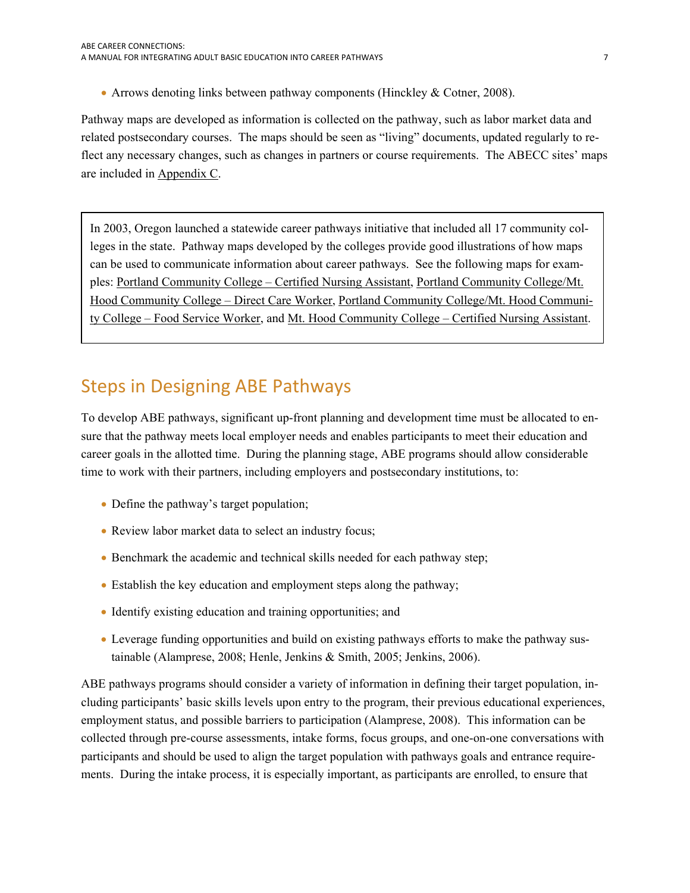<span id="page-8-0"></span>• Arrows denoting links between pathway components (Hinckley & Cotner, 2008).

Pathway maps are developed as information is collected on the pathway, such as labor market data and related postsecondary courses. The maps should be seen as "living" documents, updated regularly to reflect any necessary changes, such as changes in partners or course requirements. The ABECC sites' maps are included in Appendix C.

In 2003, Oregon launched a statewide career pathways initiative that included all 17 community colleges in the state. Pathway maps developed by the colleges provide good illustrations of how maps can be used to communicate information about career pathways. See the following maps for examples: [Portland Community College – Certified Nursing Assistant](http://www.pcc.edu/career/pathways/professional-technical/certified-nursing/road-map.html), [Portland Community College/Mt.](http://www.worksourceoregon.org/index.php/documents-aampamp-publications-mainmenu-50/doc_view/159-direct-care-healthcare-vocational-esl?tmpl=component&format=raw)  [Hood Community College – Direct Care Worker](http://www.worksourceoregon.org/index.php/documents-aampamp-publications-mainmenu-50/doc_view/159-direct-care-healthcare-vocational-esl?tmpl=component&format=raw), [Portland Community College/Mt. Hood Communi](http://www.worksourceoregon.org/index.php/documents-aampamp-publications-mainmenu-50/doc_view/166-food-service-institutional-vocational-esl-pcc-mhcc?tmpl=component&format=raw)[ty College – Food Service Worker](http://www.worksourceoregon.org/index.php/documents-aampamp-publications-mainmenu-50/doc_view/166-food-service-institutional-vocational-esl-pcc-mhcc?tmpl=component&format=raw), and [Mt. Hood Community College – Certified Nursing Assistant.](http://www.worksourceoregon.org/index.php/documents-aampamp-publications-mainmenu-50/doc_view/155-certified-nursing-assistant-plus-mt-hood-cc?tmpl=component&format=raw)

## <span id="page-8-1"></span>Steps in Designing ABE Pathways

To develop ABE pathways, significant up-front planning and development time must be allocated to ensure that the pathway meets local employer needs and enables participants to meet their education and career goals in the allotted time. During the planning stage, ABE programs should allow considerable time to work with their partners, including employers and postsecondary institutions, to:

- Define the pathway's target population;
- Review labor market data to select an industry focus;
- Benchmark the academic and technical skills needed for each pathway step;
- Establish the key education and employment steps along the pathway;
- Identify existing education and training opportunities; and
- Leverage funding opportunities and build on existing pathways efforts to make the pathway sustainable (Alamprese, 2008; Henle, Jenkins & Smith, 2005; Jenkins, 2006).

ABE pathways programs should consider a variety of information in defining their target population, including participants' basic skills levels upon entry to the program, their previous educational experiences, employment status, and possible barriers to participation (Alamprese, 2008). This information can be collected through pre-course assessments, intake forms, focus groups, and one-on-one conversations with participants and should be used to align the target population with pathways goals and entrance requirements. During the intake process, it is especially important, as participants are enrolled, to ensure that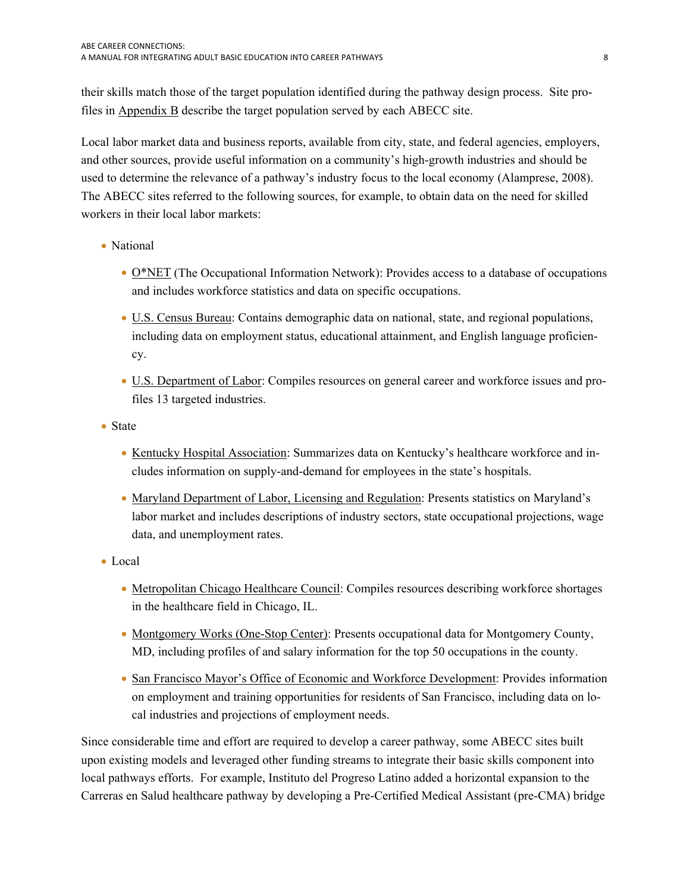their skills match those of the target population identified during the pathway design process. Site profiles in Appendix B describe the target population served by each ABECC site.

Local labor market data and business reports, available from city, state, and federal agencies, employers, and other sources, provide useful information on a community's high-growth industries and should be used to determine the relevance of a pathway's industry focus to the local economy (Alamprese, 2008). The ABECC sites referred to the following sources, for example, to obtain data on the need for skilled workers in their local labor markets:

- National
	- [O\\*NET](http://www.onetcenter.org/) (The Occupational Information Network): Provides access to a database of occupations and includes workforce statistics and data on specific occupations.
	- [U.S. Census Bureau:](http://www.census.gov/) Contains demographic data on national, state, and regional populations, including data on employment status, educational attainment, and English language proficiency.
	- [U.S. Department of Labor](http://www.dol.gov/): Compiles resources on general career and workforce issues and profiles 13 targeted industries.
- State
	- [Kentucky Hospital Association:](http://www.kyha.com/) Summarizes data on Kentucky's healthcare workforce and includes information on supply-and-demand for employees in the state's hospitals.
	- [Maryland Department of Labor, Licensing and Regulation:](http://www.dllr.state.md.us/) Presents statistics on Maryland's labor market and includes descriptions of industry sectors, state occupational projections, wage data, and unemployment rates.
- Local
	- [Metropolitan Chicago Healthcare Council:](http://www.mchc.com/eweb/) Compiles resources describing workforce shortages in the healthcare field in Chicago, IL.
	- [Montgomery Works \(One-Stop Center\):](http://www.montgomeryworks.com/) Presents occupational data for Montgomery County, MD, including profiles of and salary information for the top 50 occupations in the county.
	- [San Francisco Mayor's Office of Economic and Workforce Development](http://www6.sfgov.org/index.aspx?page=134): Provides information on employment and training opportunities for residents of San Francisco, including data on local industries and projections of employment needs.

Since considerable time and effort are required to develop a career pathway, some ABECC sites built upon existing models and leveraged other funding streams to integrate their basic skills component into local pathways efforts. For example, Instituto del Progreso Latino added a horizontal expansion to the Carreras en Salud healthcare pathway by developing a Pre-Certified Medical Assistant (pre-CMA) bridge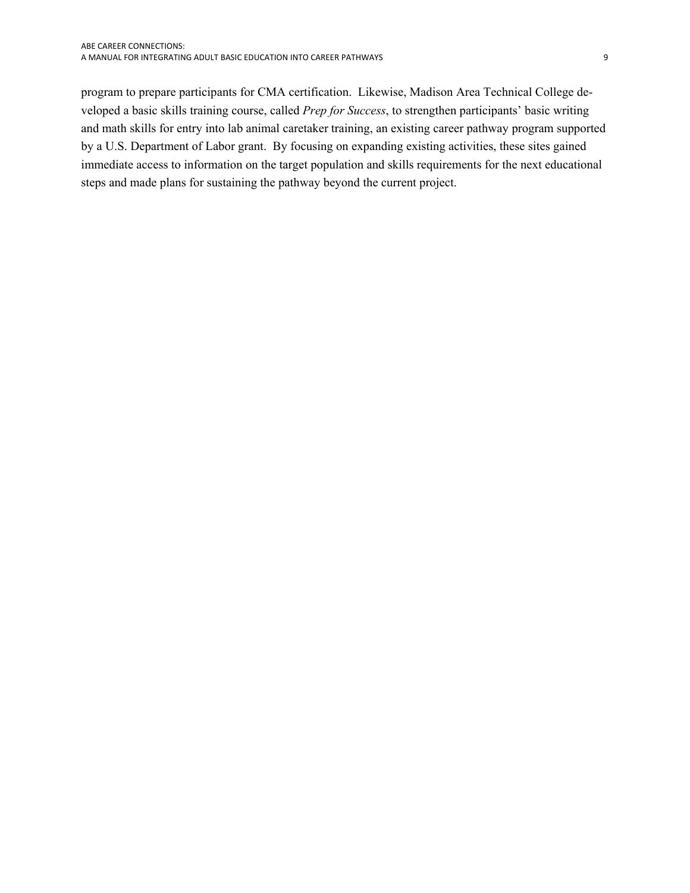program to prepare participants for CMA certification. Likewise, Madison Area Technical College developed a basic skills training course, called *Prep for Success*, to strengthen participants' basic writing and math skills for entry into lab animal caretaker training, an existing career pathway program supported by a U.S. Department of Labor grant. By focusing on expanding existing activities, these sites gained immediate access to information on the target population and skills requirements for the next educational steps and made plans for sustaining the pathway beyond the current project.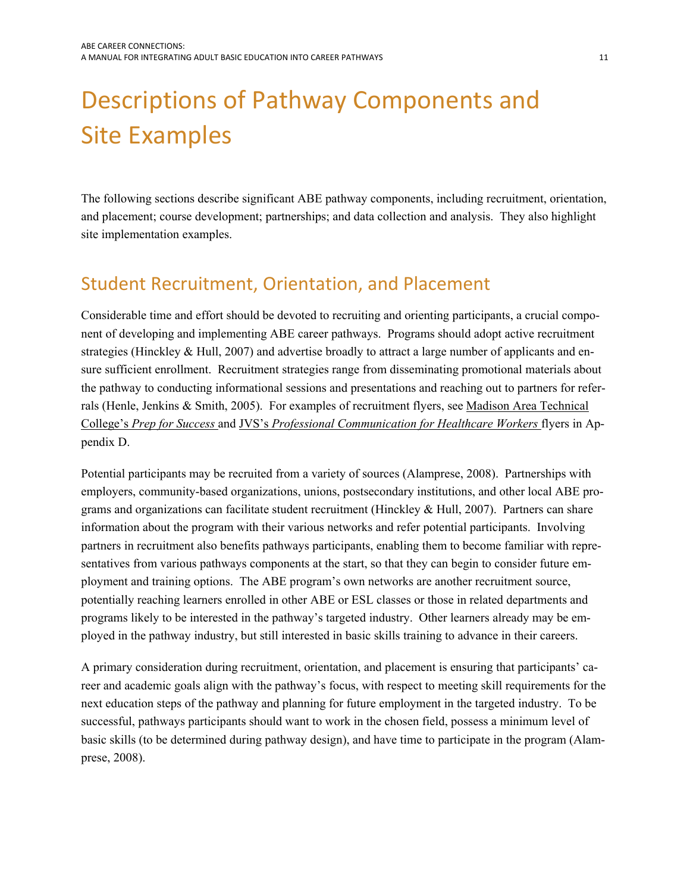# <span id="page-12-1"></span><span id="page-12-0"></span> Descriptions of Pathway Components and Site Examples

The following sections describe significant ABE pathway components, including recruitment, orientation, and placement; course development; partnerships; and data collection and analysis. They also highlight site implementation examples.

## <span id="page-12-2"></span>Student Recruitment, Orientation, and Placement

Considerable time and effort should be devoted to recruiting and orienting participants, a crucial component of developing and implementing ABE career pathways. Programs should adopt active recruitment strategies (Hinckley & Hull, 2007) and advertise broadly to attract a large number of applicants and ensure sufficient enrollment. Recruitment strategies range from disseminating promotional materials about the pathway to conducting informational sessions and presentations and reaching out to partners for referrals (Henle, Jenkins & Smith, 2005). For examples of recruitment flyers, see Madison Area Technical College's *Prep for Success* and JVS's *Professional Communication for Healthcare Workers* flyers in Appendix D.

 programs likely to be interested in the pathway's targeted industry. Other learners already may be em-Potential participants may be recruited from a variety of sources (Alamprese, 2008). Partnerships with employers, community-based organizations, unions, postsecondary institutions, and other local ABE programs and organizations can facilitate student recruitment (Hinckley  $& Hull$ , 2007). Partners can share information about the program with their various networks and refer potential participants. Involving partners in recruitment also benefits pathways participants, enabling them to become familiar with representatives from various pathways components at the start, so that they can begin to consider future employment and training options. The ABE program's own networks are another recruitment source, potentially reaching learners enrolled in other ABE or ESL classes or those in related departments and ployed in the pathway industry, but still interested in basic skills training to advance in their careers.

A primary consideration during recruitment, orientation, and placement is ensuring that participants' career and academic goals align with the pathway's focus, with respect to meeting skill requirements for the next education steps of the pathway and planning for future employment in the targeted industry. To be successful, pathways participants should want to work in the chosen field, possess a minimum level of basic skills (to be determined during pathway design), and have time to participate in the program (Alamprese, 2008).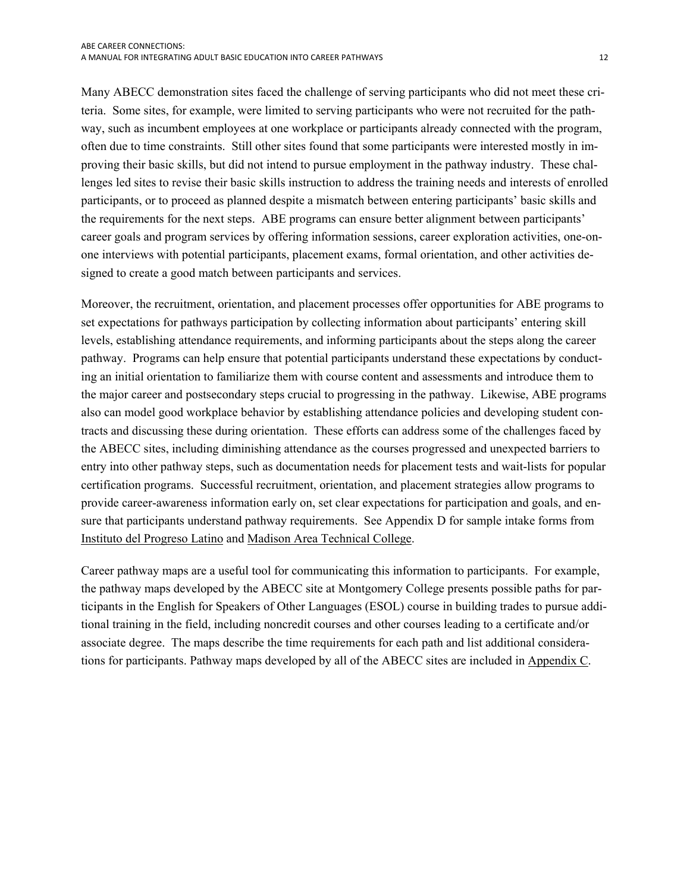Many ABECC demonstration sites faced the challenge of serving participants who did not meet these criteria. Some sites, for example, were limited to serving participants who were not recruited for the pathway, such as incumbent employees at one workplace or participants already connected with the program, often due to time constraints. Still other sites found that some participants were interested mostly in improving their basic skills, but did not intend to pursue employment in the pathway industry. These challenges led sites to revise their basic skills instruction to address the training needs and interests of enrolled participants, or to proceed as planned despite a mismatch between entering participants' basic skills and the requirements for the next steps. ABE programs can ensure better alignment between participants' career goals and program services by offering information sessions, career exploration activities, one-onone interviews with potential participants, placement exams, formal orientation, and other activities designed to create a good match between participants and services.

 the major career and postsecondary steps crucial to progressing in the pathway. Likewise, ABE programs Moreover, the recruitment, orientation, and placement processes offer opportunities for ABE programs to set expectations for pathways participation by collecting information about participants' entering skill levels, establishing attendance requirements, and informing participants about the steps along the career pathway. Programs can help ensure that potential participants understand these expectations by conducting an initial orientation to familiarize them with course content and assessments and introduce them to also can model good workplace behavior by establishing attendance policies and developing student contracts and discussing these during orientation. These efforts can address some of the challenges faced by the ABECC sites, including diminishing attendance as the courses progressed and unexpected barriers to entry into other pathway steps, such as documentation needs for placement tests and wait-lists for popular certification programs. Successful recruitment, orientation, and placement strategies allow programs to provide career-awareness information early on, set clear expectations for participation and goals, and ensure that participants understand pathway requirements. See Appendix D for sample intake forms from Instituto del Progreso Latino and Madison Area Technical College.

Career pathway maps are a useful tool for communicating this information to participants. For example, the pathway maps developed by the ABECC site at Montgomery College presents possible paths for participants in the English for Speakers of Other Languages (ESOL) course in building trades to pursue additional training in the field, including noncredit courses and other courses leading to a certificate and/or associate degree. The maps describe the time requirements for each path and list additional considerations for participants. Pathway maps developed by all of the ABECC sites are included in Appendix C.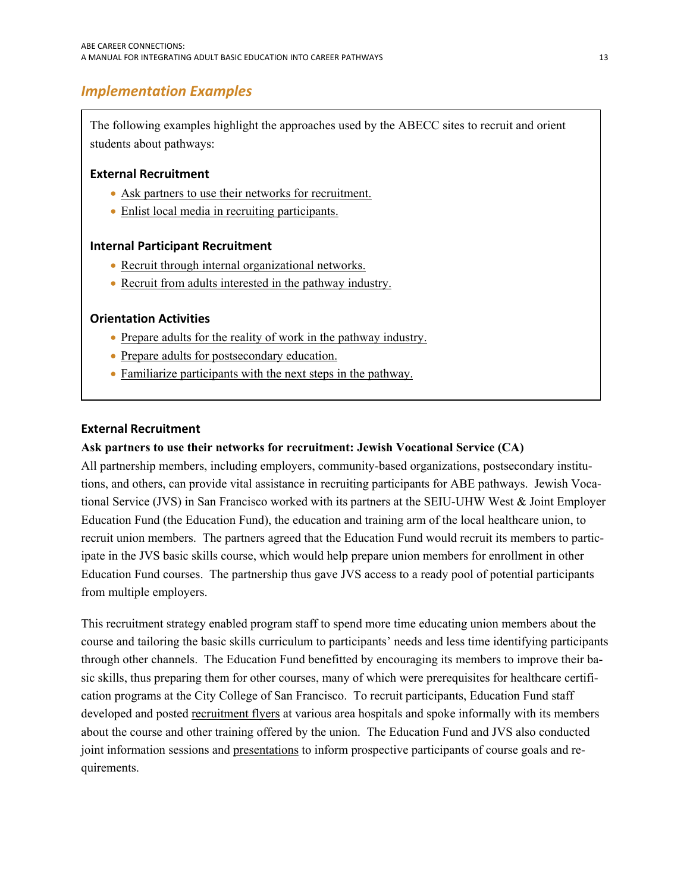## <span id="page-14-1"></span><span id="page-14-0"></span> *Implementation Examples*

The following examples highlight the approaches used by the ABECC sites to recruit and orient students about pathways:

## **External Recruitment**

- [Ask partners to use their networks for recruitment.](#page-14-0)
- [Enlist local media in recruiting participants.](#page-15-0)

## **Internal Participant Recruitment**

- Recruit through internal organizational networks.
- Recruit from adults interested in the pathway industry.

#### **Orientation Activities**

- Prepare adults for the reality of work in the pathway industry.
- [Prepare adults for postsecondary education.](#page-16-0)
- Familiarize participants with the next steps in the pathway.

#### **External Recruitment**

#### **Ask partners to use their networks for recruitment: Jewish Vocational Service (CA)**

All partnership members, including employers, community-based organizations, postsecondary institutions, and others, can provide vital assistance in recruiting participants for ABE pathways. Jewish Vocational Service (JVS) in San Francisco worked with its partners at the SEIU-UHW West & Joint Employer Education Fund (the Education Fund), the education and training arm of the local healthcare union, to recruit union members. The partners agreed that the Education Fund would recruit its members to participate in the JVS basic skills course, which would help prepare union members for enrollment in other Education Fund courses. The partnership thus gave JVS access to a ready pool of potential participants from multiple employers.

This recruitment strategy enabled program staff to spend more time educating union members about the course and tailoring the basic skills curriculum to participants' needs and less time identifying participants through other channels. The Education Fund benefitted by encouraging its members to improve their basic skills, thus preparing them for other courses, many of which were prerequisites for healthcare certification programs at the City College of San Francisco. To recruit participants, Education Fund staff developed and posted recruitment flyers at various area hospitals and spoke informally with its members about the course and other training offered by the union. The Education Fund and JVS also conducted joint information sessions and presentations to inform prospective participants of course goals and requirements.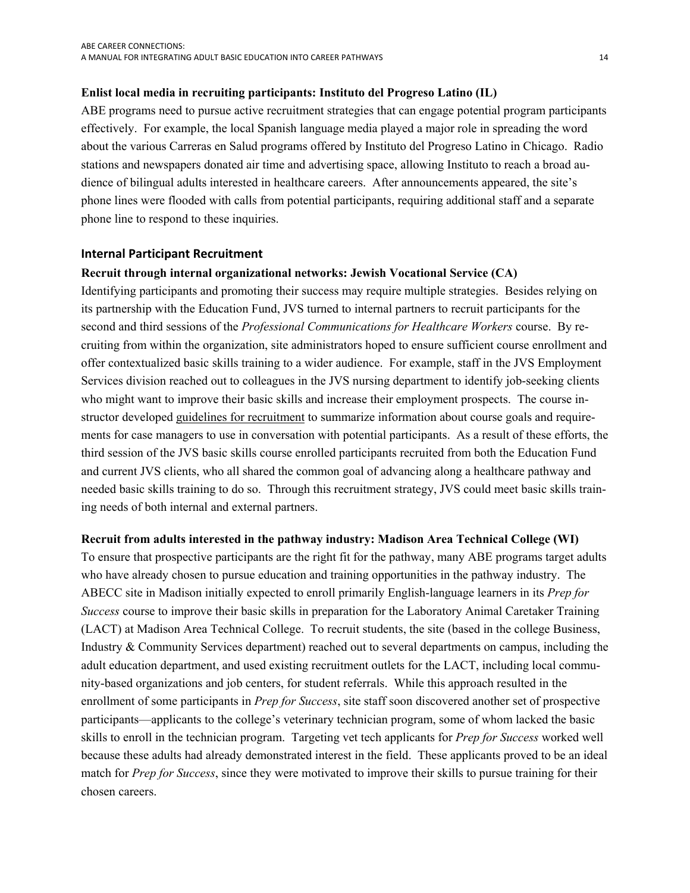#### <span id="page-15-0"></span>**Enlist local media in recruiting participants: Instituto del Progreso Latino (IL)**

ABE programs need to pursue active recruitment strategies that can engage potential program participants effectively. For example, the local Spanish language media played a major role in spreading the word about the various Carreras en Salud programs offered by Instituto del Progreso Latino in Chicago. Radio stations and newspapers donated air time and advertising space, allowing Instituto to reach a broad audience of bilingual adults interested in healthcare careers. After announcements appeared, the site's phone lines were flooded with calls from potential participants, requiring additional staff and a separate phone line to respond to these inquiries.

#### **Internal Participant Recruitment**

#### **Recruit through internal organizational networks: Jewish Vocational Service (CA)**

Identifying participants and promoting their success may require multiple strategies. Besides relying on its partnership with the Education Fund, JVS turned to internal partners to recruit participants for the second and third sessions of the *Professional Communications for Healthcare Workers* course. By recruiting from within the organization, site administrators hoped to ensure sufficient course enrollment and offer contextualized basic skills training to a wider audience. For example, staff in the JVS Employment Services division reached out to colleagues in the JVS nursing department to identify job-seeking clients who might want to improve their basic skills and increase their employment prospects. The course instructor developed guidelines for recruitment to summarize information about course goals and requirements for case managers to use in conversation with potential participants. As a result of these efforts, the third session of the JVS basic skills course enrolled participants recruited from both the Education Fund and current JVS clients, who all shared the common goal of advancing along a healthcare pathway and needed basic skills training to do so. Through this recruitment strategy, JVS could meet basic skills training needs of both internal and external partners.

#### **Recruit from adults interested in the pathway industry: Madison Area Technical College (WI)**

To ensure that prospective participants are the right fit for the pathway, many ABE programs target adults who have already chosen to pursue education and training opportunities in the pathway industry. The ABECC site in Madison initially expected to enroll primarily English-language learners in its *Prep for Success* course to improve their basic skills in preparation for the Laboratory Animal Caretaker Training (LACT) at Madison Area Technical College. To recruit students, the site (based in the college Business, Industry & Community Services department) reached out to several departments on campus, including the adult education department, and used existing recruitment outlets for the LACT, including local community-based organizations and job centers, for student referrals. While this approach resulted in the enrollment of some participants in *Prep for Success*, site staff soon discovered another set of prospective participants—applicants to the college's veterinary technician program, some of whom lacked the basic skills to enroll in the technician program. Targeting vet tech applicants for *Prep for Success* worked well because these adults had already demonstrated interest in the field. These applicants proved to be an ideal match for *Prep for Success*, since they were motivated to improve their skills to pursue training for their chosen careers.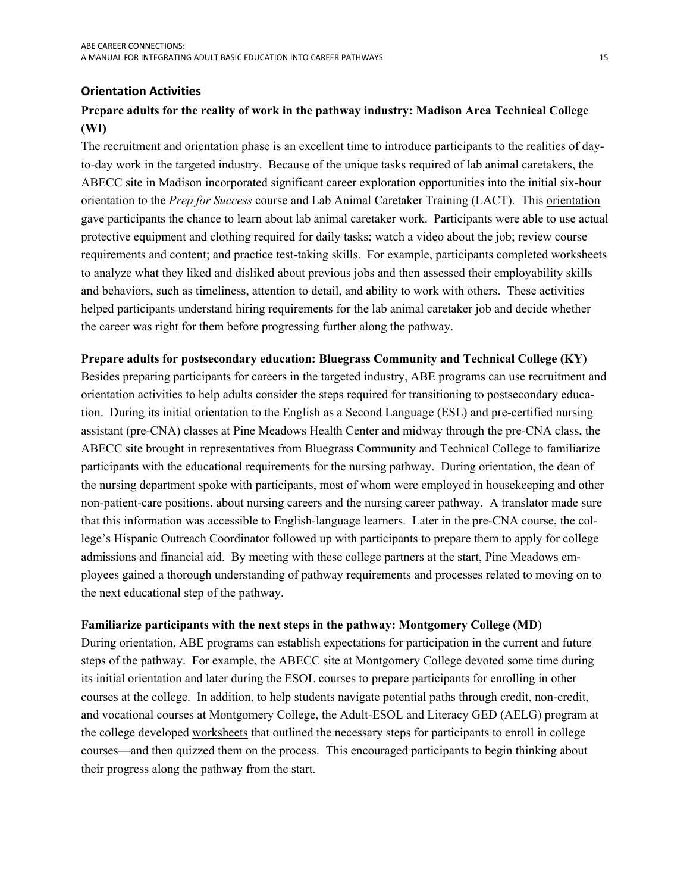### <span id="page-16-0"></span> **Orientation Activities**

## **Prepare adults for the reality of work in the pathway industry: Madison Area Technical College (WI)**

 the career was right for them before progressing further along the pathway. The recruitment and orientation phase is an excellent time to introduce participants to the realities of dayto-day work in the targeted industry. Because of the unique tasks required of lab animal caretakers, the ABECC site in Madison incorporated significant career exploration opportunities into the initial six-hour orientation to the *Prep for Success* course and Lab Animal Caretaker Training (LACT). This orientation gave participants the chance to learn about lab animal caretaker work. Participants were able to use actual protective equipment and clothing required for daily tasks; watch a video about the job; review course requirements and content; and practice test-taking skills. For example, participants completed worksheets to analyze what they liked and disliked about previous jobs and then assessed their employability skills and behaviors, such as timeliness, attention to detail, and ability to work with others. These activities helped participants understand hiring requirements for the lab animal caretaker job and decide whether

#### **Prepare adults for postsecondary education: Bluegrass Community and Technical College (KY)**

Besides preparing participants for careers in the targeted industry, ABE programs can use recruitment and orientation activities to help adults consider the steps required for transitioning to postsecondary education. During its initial orientation to the English as a Second Language (ESL) and pre-certified nursing assistant (pre-CNA) classes at Pine Meadows Health Center and midway through the pre-CNA class, the ABECC site brought in representatives from Bluegrass Community and Technical College to familiarize participants with the educational requirements for the nursing pathway. During orientation, the dean of the nursing department spoke with participants, most of whom were employed in housekeeping and other non-patient-care positions, about nursing careers and the nursing career pathway. A translator made sure that this information was accessible to English-language learners. Later in the pre-CNA course, the college's Hispanic Outreach Coordinator followed up with participants to prepare them to apply for college admissions and financial aid. By meeting with these college partners at the start, Pine Meadows employees gained a thorough understanding of pathway requirements and processes related to moving on to the next educational step of the pathway.

#### **Familiarize participants with the next steps in the pathway: Montgomery College (MD)**

During orientation, ABE programs can establish expectations for participation in the current and future steps of the pathway. For example, the ABECC site at Montgomery College devoted some time during its initial orientation and later during the ESOL courses to prepare participants for enrolling in other courses at the college. In addition, to help students navigate potential paths through credit, non-credit, and vocational courses at Montgomery College, the Adult-ESOL and Literacy GED (AELG) program at the college developed worksheets that outlined the necessary steps for participants to enroll in college courses—and then quizzed them on the process. This encouraged participants to begin thinking about their progress along the pathway from the start.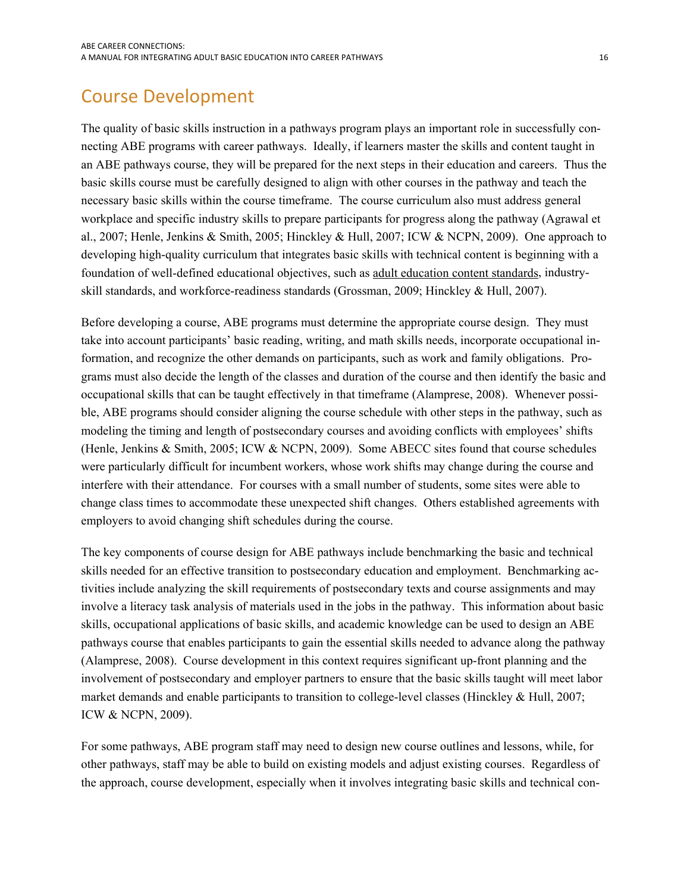## <span id="page-17-1"></span><span id="page-17-0"></span>Course Development

 al., 2007; Henle, Jenkins & Smith, 2005; Hinckley & Hull, 2007; ICW & NCPN, 2009). One approach to The quality of basic skills instruction in a pathways program plays an important role in successfully connecting ABE programs with career pathways. Ideally, if learners master the skills and content taught in an ABE pathways course, they will be prepared for the next steps in their education and careers. Thus the basic skills course must be carefully designed to align with other courses in the pathway and teach the necessary basic skills within the course timeframe. The course curriculum also must address general workplace and specific industry skills to prepare participants for progress along the pathway (Agrawal et developing high-quality curriculum that integrates basic skills with technical content is beginning with a foundation of well-defined educational objectives, such as [adult education content standards,](http://www.adultedcontentstandards.ed.gov/) industryskill standards, and workforce-readiness standards (Grossman, 2009; Hinckley & Hull, 2007).

Before developing a course, ABE programs must determine the appropriate course design. They must take into account participants' basic reading, writing, and math skills needs, incorporate occupational information, and recognize the other demands on participants, such as work and family obligations. Programs must also decide the length of the classes and duration of the course and then identify the basic and occupational skills that can be taught effectively in that timeframe (Alamprese, 2008). Whenever possible, ABE programs should consider aligning the course schedule with other steps in the pathway, such as modeling the timing and length of postsecondary courses and avoiding conflicts with employees' shifts (Henle, Jenkins & Smith, 2005; ICW & NCPN, 2009). Some ABECC sites found that course schedules were particularly difficult for incumbent workers, whose work shifts may change during the course and interfere with their attendance. For courses with a small number of students, some sites were able to change class times to accommodate these unexpected shift changes. Others established agreements with employers to avoid changing shift schedules during the course.

The key components of course design for ABE pathways include benchmarking the basic and technical skills needed for an effective transition to postsecondary education and employment. Benchmarking activities include analyzing the skill requirements of postsecondary texts and course assignments and may involve a literacy task analysis of materials used in the jobs in the pathway. This information about basic skills, occupational applications of basic skills, and academic knowledge can be used to design an ABE pathways course that enables participants to gain the essential skills needed to advance along the pathway (Alamprese, 2008). Course development in this context requires significant up-front planning and the involvement of postsecondary and employer partners to ensure that the basic skills taught will meet labor market demands and enable participants to transition to college-level classes (Hinckley & Hull, 2007; ICW & NCPN, 2009).

For some pathways, ABE program staff may need to design new course outlines and lessons, while, for other pathways, staff may be able to build on existing models and adjust existing courses. Regardless of the approach, course development, especially when it involves integrating basic skills and technical con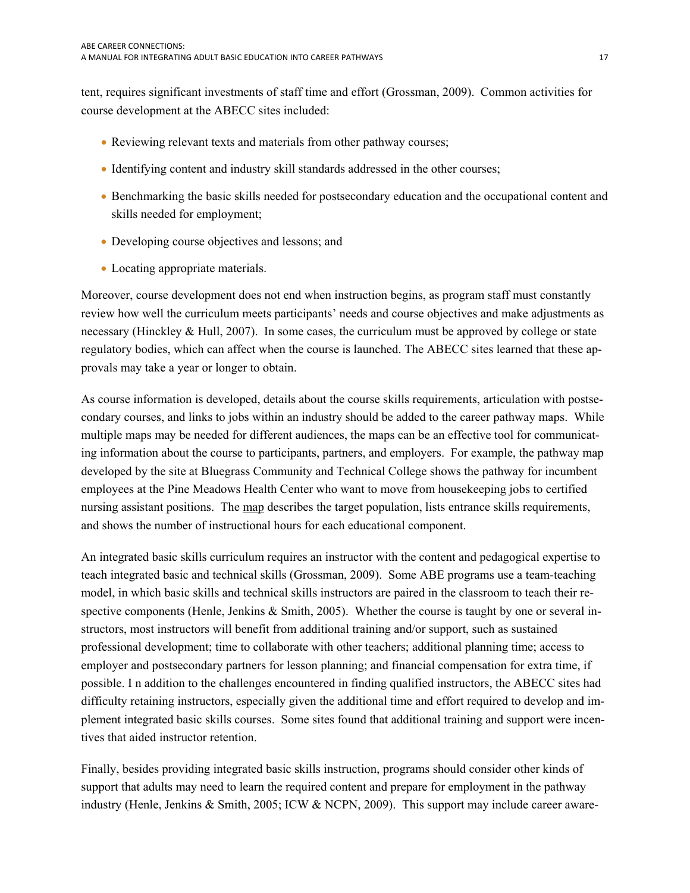tent, requires significant investments of staff time and effort (Grossman, 2009). Common activities for course development at the ABECC sites included:

- Reviewing relevant texts and materials from other pathway courses;
- Identifying content and industry skill standards addressed in the other courses;
- Benchmarking the basic skills needed for postsecondary education and the occupational content and skills needed for employment;
- Developing course objectives and lessons; and
- Locating appropriate materials.

Moreover, course development does not end when instruction begins, as program staff must constantly review how well the curriculum meets participants' needs and course objectives and make adjustments as necessary (Hinckley & Hull, 2007). In some cases, the curriculum must be approved by college or state regulatory bodies, which can affect when the course is launched. The ABECC sites learned that these approvals may take a year or longer to obtain.

As course information is developed, details about the course skills requirements, articulation with postsecondary courses, and links to jobs within an industry should be added to the career pathway maps. While multiple maps may be needed for different audiences, the maps can be an effective tool for communicating information about the course to participants, partners, and employers. For example, the pathway map developed by the site at Bluegrass Community and Technical College shows the pathway for incumbent employees at the Pine Meadows Health Center who want to move from housekeeping jobs to certified nursing assistant positions. The map describes the target population, lists entrance skills requirements, and shows the number of instructional hours for each educational component.

An integrated basic skills curriculum requires an instructor with the content and pedagogical expertise to teach integrated basic and technical skills (Grossman, 2009). Some ABE programs use a team-teaching model, in which basic skills and technical skills instructors are paired in the classroom to teach their respective components (Henle, Jenkins & Smith, 2005). Whether the course is taught by one or several instructors, most instructors will benefit from additional training and/or support, such as sustained professional development; time to collaborate with other teachers; additional planning time; access to employer and postsecondary partners for lesson planning; and financial compensation for extra time, if possible. I n addition to the challenges encountered in finding qualified instructors, the ABECC sites had difficulty retaining instructors, especially given the additional time and effort required to develop and implement integrated basic skills courses. Some sites found that additional training and support were incentives that aided instructor retention.

Finally, besides providing integrated basic skills instruction, programs should consider other kinds of support that adults may need to learn the required content and prepare for employment in the pathway industry (Henle, Jenkins & Smith, 2005; ICW & NCPN, 2009). This support may include career aware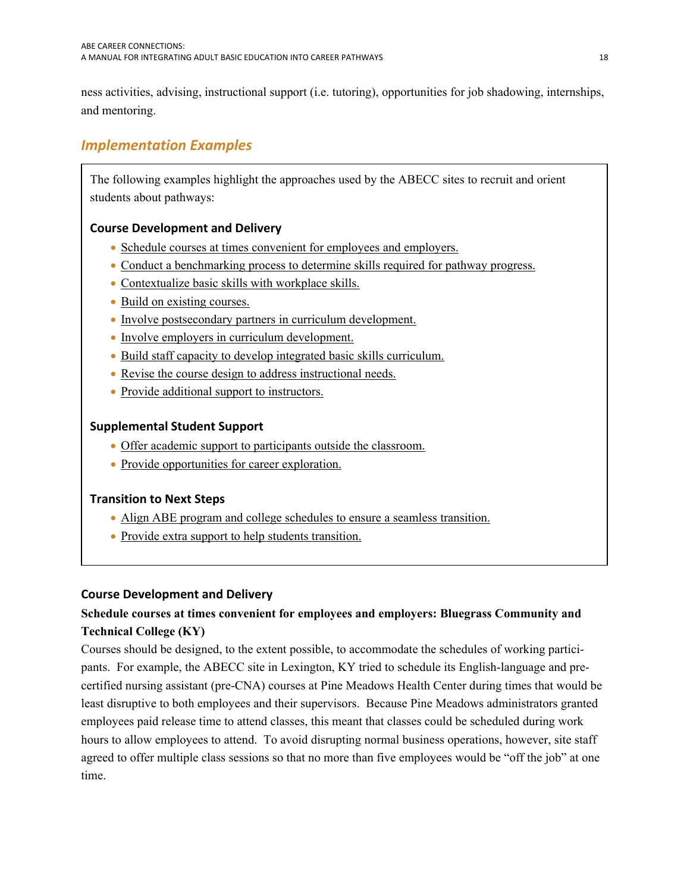<span id="page-19-0"></span>ness activities, advising, instructional support (i.e. tutoring), opportunities for job shadowing, internships, and mentoring.

## <span id="page-19-1"></span> *Implementation Examples*

The following examples highlight the approaches used by the ABECC sites to recruit and orient students about pathways:

## **Course Development and Delivery**

- Schedule courses at times convenient for employees and employers.
- Conduct a benchmarking process to determine skills required for pathway progress.
- [Contextualize basic skills with workplace skills.](#page-20-0)
- Build on existing courses.
- [Involve postsecondary partners in curriculum development.](#page-21-0)
- [Involve employers in curriculum development.](#page-21-0)
- [Build staff capacity to develop integrated basic skills curriculum.](#page-22-0)
- [Revise the course design to address instructional needs.](#page-22-0)
- [Provide additional support to instructors.](#page-22-0)

## **Supplemental Student Support**

- [Offer academic support to participants outside the classroom.](#page-23-0)
- [Provide opportunities for career exploration.](#page-23-0)

### **Transition to Next Steps**

- [Align ABE program and college schedules to ensure a seamless transition.](#page-24-0)
- Provide extra support to help students transition.

### **Course Development and Delivery**

## **Schedule courses at times convenient for employees and employers: Bluegrass Community and Technical College (KY)**

Courses should be designed, to the extent possible, to accommodate the schedules of working participants. For example, the ABECC site in Lexington, KY tried to schedule its English-language and precertified nursing assistant (pre-CNA) courses at Pine Meadows Health Center during times that would be least disruptive to both employees and their supervisors. Because Pine Meadows administrators granted employees paid release time to attend classes, this meant that classes could be scheduled during work hours to allow employees to attend. To avoid disrupting normal business operations, however, site staff agreed to offer multiple class sessions so that no more than five employees would be "off the job" at one time.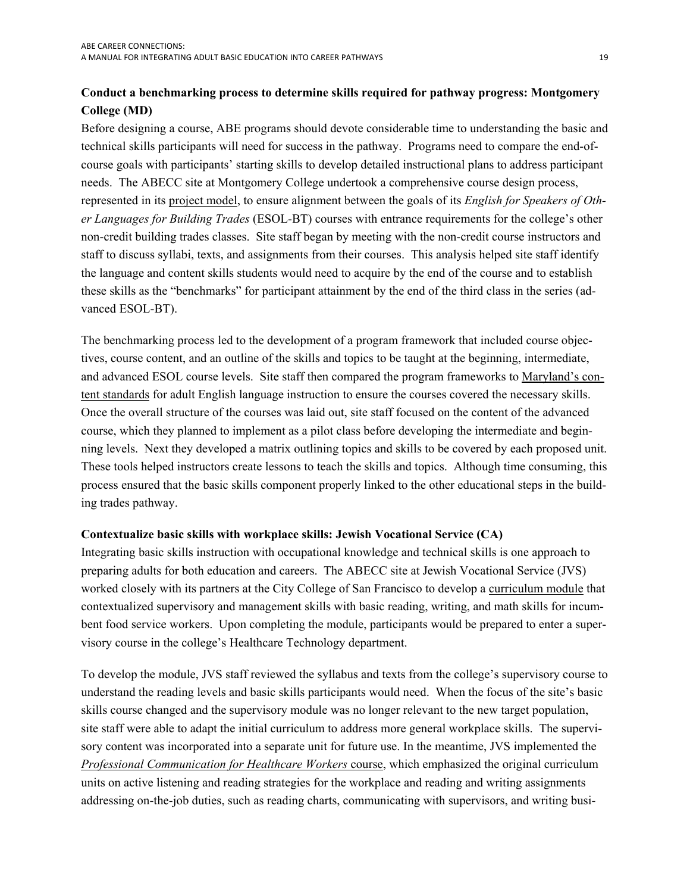## <span id="page-20-0"></span>**Conduct a benchmarking process to determine skills required for pathway progress: Montgomery College (MD)**

Before designing a course, ABE programs should devote considerable time to understanding the basic and technical skills participants will need for success in the pathway. Programs need to compare the end-ofcourse goals with participants' starting skills to develop detailed instructional plans to address participant needs. The ABECC site at Montgomery College undertook a comprehensive course design process, represented in its project model, to ensure alignment between the goals of its *English for Speakers of Other Languages for Building Trades* (ESOL-BT) courses with entrance requirements for the college's other non-credit building trades classes. Site staff began by meeting with the non-credit course instructors and staff to discuss syllabi, texts, and assignments from their courses. This analysis helped site staff identify the language and content skills students would need to acquire by the end of the course and to establish these skills as the "benchmarks" for participant attainment by the end of the third class in the series (advanced ESOL-BT).

and advanced ESOL course levels. Site staff then compared the program frameworks to [Maryland's con-](http://www.gogedgo.org/CS_Preface_08.pdf) ing trades pathway. The benchmarking process led to the development of a program framework that included course objectives, course content, and an outline of the skills and topics to be taught at the beginning, intermediate, [tent standards](http://www.gogedgo.org/CS_Preface_08.pdf) for adult English language instruction to ensure the courses covered the necessary skills. Once the overall structure of the courses was laid out, site staff focused on the content of the advanced course, which they planned to implement as a pilot class before developing the intermediate and beginning levels. Next they developed a matrix outlining topics and skills to be covered by each proposed unit. These tools helped instructors create lessons to teach the skills and topics. Although time consuming, this process ensured that the basic skills component properly linked to the other educational steps in the build-

#### **Contextualize basic skills with workplace skills: Jewish Vocational Service (CA)**

Integrating basic skills instruction with occupational knowledge and technical skills is one approach to preparing adults for both education and careers. The ABECC site at Jewish Vocational Service (JVS) worked closely with its partners at the City College of San Francisco to develop a curriculum module that contextualized supervisory and management skills with basic reading, writing, and math skills for incumbent food service workers. Upon completing the module, participants would be prepared to enter a supervisory course in the college's Healthcare Technology department.

To develop the module, JVS staff reviewed the syllabus and texts from the college's supervisory course to understand the reading levels and basic skills participants would need. When the focus of the site's basic skills course changed and the supervisory module was no longer relevant to the new target population, site staff were able to adapt the initial curriculum to address more general workplace skills. The supervisory content was incorporated into a separate unit for future use. In the meantime, JVS implemented the *Professional Communication for Healthcare Workers* course, which emphasized the original curriculum units on active listening and reading strategies for the workplace and reading and writing assignments addressing on-the-job duties, such as reading charts, communicating with supervisors, and writing busi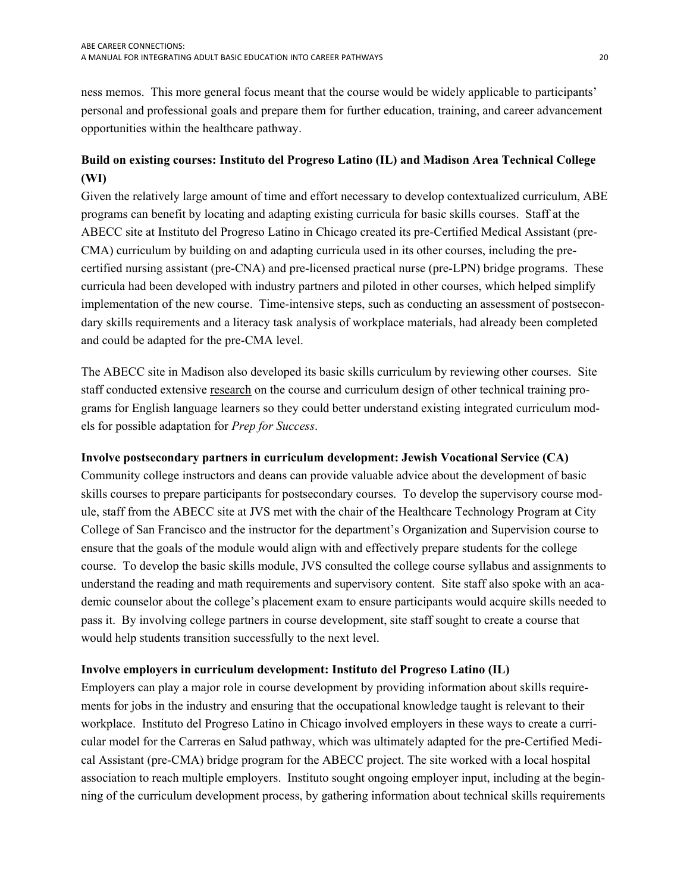<span id="page-21-0"></span>ness memos. This more general focus meant that the course would be widely applicable to participants' personal and professional goals and prepare them for further education, training, and career advancement opportunities within the healthcare pathway.

## **Build on existing courses: Instituto del Progreso Latino (IL) and Madison Area Technical College (WI)**

Given the relatively large amount of time and effort necessary to develop contextualized curriculum, ABE programs can benefit by locating and adapting existing curricula for basic skills courses. Staff at the ABECC site at Instituto del Progreso Latino in Chicago created its pre-Certified Medical Assistant (pre-CMA) curriculum by building on and adapting curricula used in its other courses, including the precertified nursing assistant (pre-CNA) and pre-licensed practical nurse (pre-LPN) bridge programs. These curricula had been developed with industry partners and piloted in other courses, which helped simplify implementation of the new course. Time-intensive steps, such as conducting an assessment of postsecondary skills requirements and a literacy task analysis of workplace materials, had already been completed and could be adapted for the pre-CMA level.

The ABECC site in Madison also developed its basic skills curriculum by reviewing other courses. Site staff conducted extensive research on the course and curriculum design of other technical training programs for English language learners so they could better understand existing integrated curriculum models for possible adaptation for *Prep for Success*.

### **Involve postsecondary partners in curriculum development: Jewish Vocational Service (CA)**

Community college instructors and deans can provide valuable advice about the development of basic skills courses to prepare participants for postsecondary courses. To develop the supervisory course module, staff from the ABECC site at JVS met with the chair of the Healthcare Technology Program at City College of San Francisco and the instructor for the department's Organization and Supervision course to ensure that the goals of the module would align with and effectively prepare students for the college course. To develop the basic skills module, JVS consulted the college course syllabus and assignments to understand the reading and math requirements and supervisory content. Site staff also spoke with an academic counselor about the college's placement exam to ensure participants would acquire skills needed to pass it. By involving college partners in course development, site staff sought to create a course that would help students transition successfully to the next level.

#### **Involve employers in curriculum development: Instituto del Progreso Latino (IL)**

Employers can play a major role in course development by providing information about skills requirements for jobs in the industry and ensuring that the occupational knowledge taught is relevant to their workplace. Instituto del Progreso Latino in Chicago involved employers in these ways to create a curricular model for the Carreras en Salud pathway, which was ultimately adapted for the pre-Certified Medical Assistant (pre-CMA) bridge program for the ABECC project. The site worked with a local hospital association to reach multiple employers. Instituto sought ongoing employer input, including at the beginning of the curriculum development process, by gathering information about technical skills requirements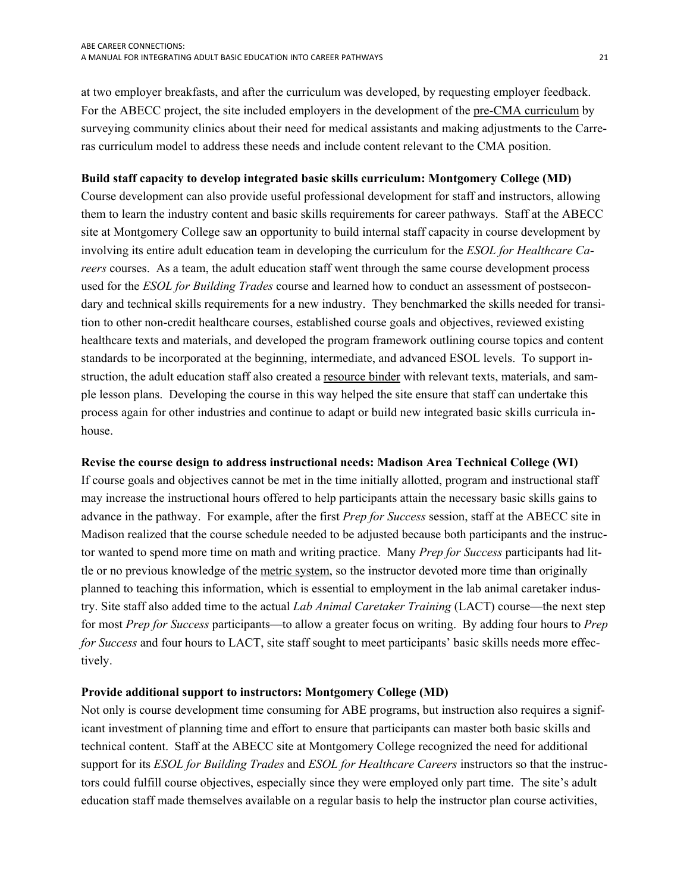<span id="page-22-0"></span>at two employer breakfasts, and after the curriculum was developed, by requesting employer feedback. For the ABECC project, the site included employers in the development of the pre-CMA curriculum by surveying community clinics about their need for medical assistants and making adjustments to the Carreras curriculum model to address these needs and include content relevant to the CMA position.

#### **Build staff capacity to develop integrated basic skills curriculum: Montgomery College (MD)**

Course development can also provide useful professional development for staff and instructors, allowing them to learn the industry content and basic skills requirements for career pathways. Staff at the ABECC site at Montgomery College saw an opportunity to build internal staff capacity in course development by involving its entire adult education team in developing the curriculum for the *ESOL for Healthcare Careers* courses. As a team, the adult education staff went through the same course development process used for the *ESOL for Building Trades* course and learned how to conduct an assessment of postsecondary and technical skills requirements for a new industry. They benchmarked the skills needed for transition to other non-credit healthcare courses, established course goals and objectives, reviewed existing healthcare texts and materials, and developed the program framework outlining course topics and content standards to be incorporated at the beginning, intermediate, and advanced ESOL levels. To support instruction, the adult education staff also created a <u>resource binder</u> with relevant texts, materials, and sample lesson plans. Developing the course in this way helped the site ensure that staff can undertake this process again for other industries and continue to adapt or build new integrated basic skills curricula inhouse.

#### **Revise the course design to address instructional needs: Madison Area Technical College (WI)**

 tively. If course goals and objectives cannot be met in the time initially allotted, program and instructional staff may increase the instructional hours offered to help participants attain the necessary basic skills gains to advance in the pathway. For example, after the first *Prep for Success* session, staff at the ABECC site in Madison realized that the course schedule needed to be adjusted because both participants and the instructor wanted to spend more time on math and writing practice. Many *Prep for Success* participants had little or no previous knowledge of the metric system, so the instructor devoted more time than originally planned to teaching this information, which is essential to employment in the lab animal caretaker industry. Site staff also added time to the actual *Lab Animal Caretaker Training* (LACT) course—the next step for most *Prep for Success* participants—to allow a greater focus on writing. By adding four hours to *Prep for Success* and four hours to LACT, site staff sought to meet participants' basic skills needs more effec-

#### **Provide additional support to instructors: Montgomery College (MD)**

Not only is course development time consuming for ABE programs, but instruction also requires a significant investment of planning time and effort to ensure that participants can master both basic skills and technical content. Staff at the ABECC site at Montgomery College recognized the need for additional support for its *ESOL for Building Trades* and *ESOL for Healthcare Careers* instructors so that the instructors could fulfill course objectives, especially since they were employed only part time. The site's adult education staff made themselves available on a regular basis to help the instructor plan course activities,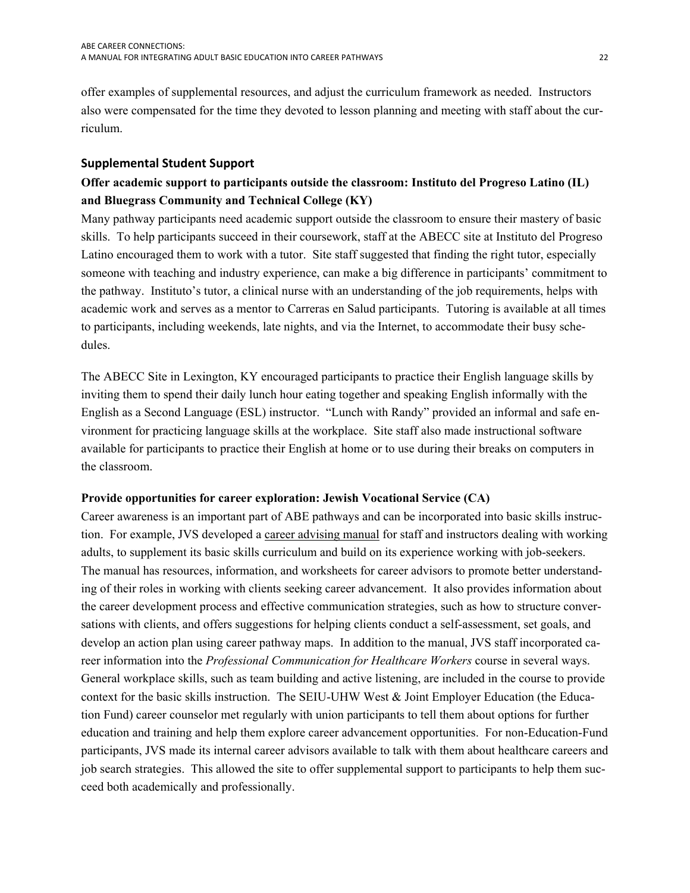<span id="page-23-0"></span>offer examples of supplemental resources, and adjust the curriculum framework as needed. Instructors also were compensated for the time they devoted to lesson planning and meeting with staff about the curriculum.

#### **Supplemental Student Support**

## **Offer academic support to participants outside the classroom: Instituto del Progreso Latino (IL) and Bluegrass Community and Technical College (KY)**

Many pathway participants need academic support outside the classroom to ensure their mastery of basic skills. To help participants succeed in their coursework, staff at the ABECC site at Instituto del Progreso Latino encouraged them to work with a tutor. Site staff suggested that finding the right tutor, especially someone with teaching and industry experience, can make a big difference in participants' commitment to the pathway. Instituto's tutor, a clinical nurse with an understanding of the job requirements, helps with academic work and serves as a mentor to Carreras en Salud participants. Tutoring is available at all times to participants, including weekends, late nights, and via the Internet, to accommodate their busy schedules.

The ABECC Site in Lexington, KY encouraged participants to practice their English language skills by inviting them to spend their daily lunch hour eating together and speaking English informally with the English as a Second Language (ESL) instructor. "Lunch with Randy" provided an informal and safe environment for practicing language skills at the workplace. Site staff also made instructional software available for participants to practice their English at home or to use during their breaks on computers in the classroom.

#### **Provide opportunities for career exploration: Jewish Vocational Service (CA)**

Career awareness is an important part of ABE pathways and can be incorporated into basic skills instruction. For example, JVS developed a career advising manual for staff and instructors dealing with working adults, to supplement its basic skills curriculum and build on its experience working with job-seekers. The manual has resources, information, and worksheets for career advisors to promote better understanding of their roles in working with clients seeking career advancement. It also provides information about the career development process and effective communication strategies, such as how to structure conversations with clients, and offers suggestions for helping clients conduct a self-assessment, set goals, and develop an action plan using career pathway maps. In addition to the manual, JVS staff incorporated career information into the *Professional Communication for Healthcare Workers* course in several ways. General workplace skills, such as team building and active listening, are included in the course to provide context for the basic skills instruction. The SEIU-UHW West & Joint Employer Education (the Education Fund) career counselor met regularly with union participants to tell them about options for further education and training and help them explore career advancement opportunities. For non-Education-Fund participants, JVS made its internal career advisors available to talk with them about healthcare careers and job search strategies. This allowed the site to offer supplemental support to participants to help them succeed both academically and professionally.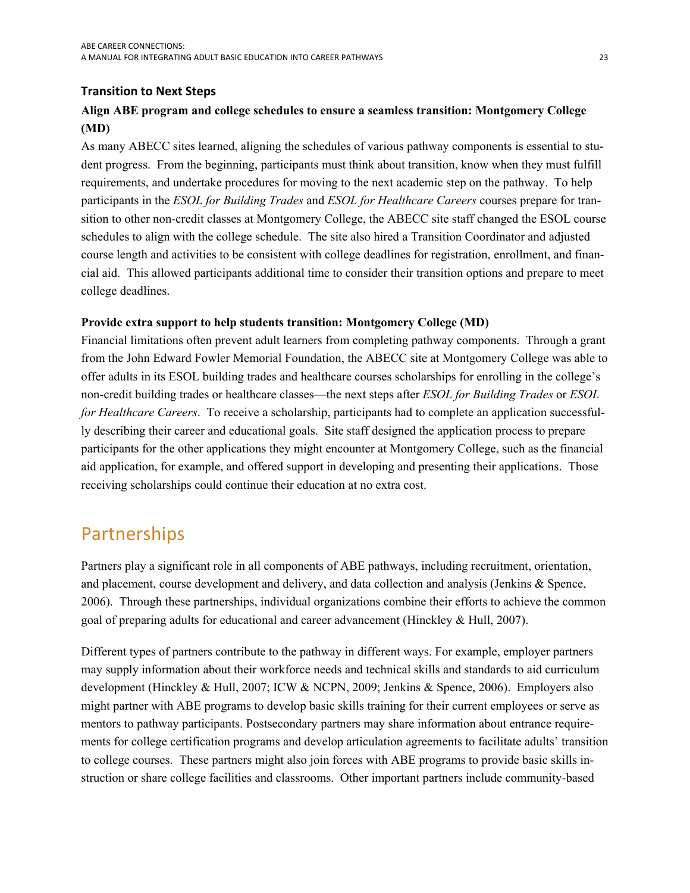## <span id="page-24-0"></span> **Transition to Next Steps**

## **Align ABE program and college schedules to ensure a seamless transition: Montgomery College (MD)**

 requirements, and undertake procedures for moving to the next academic step on the pathway. To help As many ABECC sites learned, aligning the schedules of various pathway components is essential to student progress. From the beginning, participants must think about transition, know when they must fulfill participants in the *ESOL for Building Trades* and *ESOL for Healthcare Careers* courses prepare for transition to other non-credit classes at Montgomery College, the ABECC site staff changed the ESOL course schedules to align with the college schedule. The site also hired a Transition Coordinator and adjusted course length and activities to be consistent with college deadlines for registration, enrollment, and financial aid. This allowed participants additional time to consider their transition options and prepare to meet college deadlines.

#### **Provide extra support to help students transition: Montgomery College (MD)**

Financial limitations often prevent adult learners from completing pathway components. Through a grant from the John Edward Fowler Memorial Foundation, the ABECC site at Montgomery College was able to offer adults in its ESOL building trades and healthcare courses scholarships for enrolling in the college's non-credit building trades or healthcare classes—the next steps after *ESOL for Building Trades* or *ESOL for Healthcare Careers*. To receive a scholarship, participants had to complete an application successfully describing their career and educational goals. Site staff designed the application process to prepare participants for the other applications they might encounter at Montgomery College, such as the financial aid application, for example, and offered support in developing and presenting their applications. Those receiving scholarships could continue their education at no extra cost.

## <span id="page-24-1"></span>Partnerships

Partners play a significant role in all components of ABE pathways, including recruitment, orientation, and placement, course development and delivery, and data collection and analysis (Jenkins & Spence, 2006). Through these partnerships, individual organizations combine their efforts to achieve the common goal of preparing adults for educational and career advancement (Hinckley & Hull, 2007).

Different types of partners contribute to the pathway in different ways. For example, employer partners may supply information about their workforce needs and technical skills and standards to aid curriculum development (Hinckley & Hull, 2007; ICW & NCPN, 2009; Jenkins & Spence, 2006). Employers also might partner with ABE programs to develop basic skills training for their current employees or serve as mentors to pathway participants. Postsecondary partners may share information about entrance requirements for college certification programs and develop articulation agreements to facilitate adults' transition to college courses. These partners might also join forces with ABE programs to provide basic skills instruction or share college facilities and classrooms. Other important partners include community-based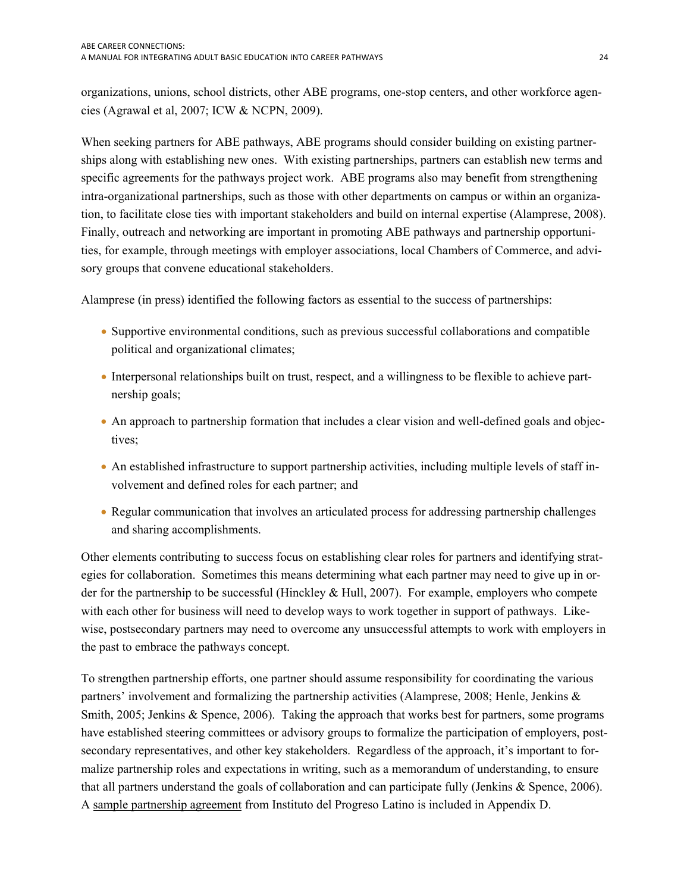organizations, unions, school districts, other ABE programs, one-stop centers, and other workforce agencies (Agrawal et al, 2007; ICW & NCPN, 2009).

When seeking partners for ABE pathways, ABE programs should consider building on existing partnerships along with establishing new ones. With existing partnerships, partners can establish new terms and specific agreements for the pathways project work. ABE programs also may benefit from strengthening intra-organizational partnerships, such as those with other departments on campus or within an organization, to facilitate close ties with important stakeholders and build on internal expertise (Alamprese, 2008). Finally, outreach and networking are important in promoting ABE pathways and partnership opportunities, for example, through meetings with employer associations, local Chambers of Commerce, and advisory groups that convene educational stakeholders.

Alamprese (in press) identified the following factors as essential to the success of partnerships:

- Supportive environmental conditions, such as previous successful collaborations and compatible political and organizational climates;
- nership goals; • Interpersonal relationships built on trust, respect, and a willingness to be flexible to achieve part-
- An approach to partnership formation that includes a clear vision and well-defined goals and objectives;
- An established infrastructure to support partnership activities, including multiple levels of staff involvement and defined roles for each partner; and
- Regular communication that involves an articulated process for addressing partnership challenges and sharing accomplishments.

Other elements contributing to success focus on establishing clear roles for partners and identifying strategies for collaboration. Sometimes this means determining what each partner may need to give up in order for the partnership to be successful (Hinckley & Hull, 2007). For example, employers who compete with each other for business will need to develop ways to work together in support of pathways. Likewise, postsecondary partners may need to overcome any unsuccessful attempts to work with employers in the past to embrace the pathways concept.

To strengthen partnership efforts, one partner should assume responsibility for coordinating the various partners' involvement and formalizing the partnership activities (Alamprese, 2008; Henle, Jenkins & Smith, 2005; Jenkins & Spence, 2006). Taking the approach that works best for partners, some programs have established steering committees or advisory groups to formalize the participation of employers, postsecondary representatives, and other key stakeholders. Regardless of the approach, it's important to formalize partnership roles and expectations in writing, such as a memorandum of understanding, to ensure that all partners understand the goals of collaboration and can participate fully (Jenkins & Spence, 2006). A sample partnership agreement from Instituto del Progreso Latino is included in Appendix D.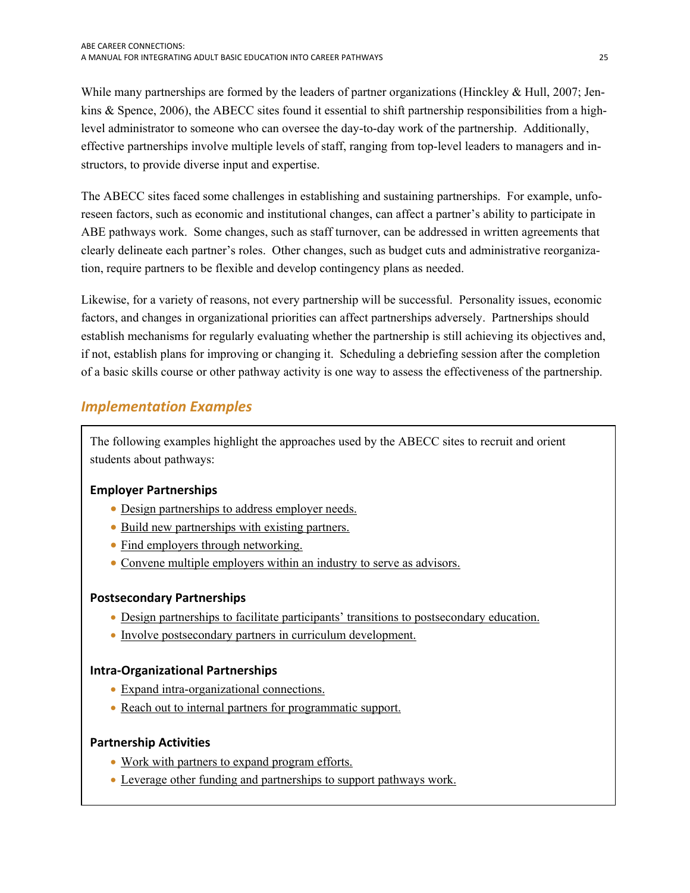<span id="page-26-0"></span>While many partnerships are formed by the leaders of partner organizations (Hinckley & Hull, 2007; Jenkins & Spence, 2006), the ABECC sites found it essential to shift partnership responsibilities from a highlevel administrator to someone who can oversee the day-to-day work of the partnership. Additionally, effective partnerships involve multiple levels of staff, ranging from top-level leaders to managers and instructors, to provide diverse input and expertise.

The ABECC sites faced some challenges in establishing and sustaining partnerships. For example, unforeseen factors, such as economic and institutional changes, can affect a partner's ability to participate in ABE pathways work. Some changes, such as staff turnover, can be addressed in written agreements that clearly delineate each partner's roles. Other changes, such as budget cuts and administrative reorganization, require partners to be flexible and develop contingency plans as needed.

 if not, establish plans for improving or changing it. Scheduling a debriefing session after the completion Likewise, for a variety of reasons, not every partnership will be successful. Personality issues, economic factors, and changes in organizational priorities can affect partnerships adversely. Partnerships should establish mechanisms for regularly evaluating whether the partnership is still achieving its objectives and, of a basic skills course or other pathway activity is one way to assess the effectiveness of the partnership.

## <span id="page-26-1"></span> *Implementation Examples*

The following examples highlight the approaches used by the ABECC sites to recruit and orient students about pathways:

## **Employer Partnerships**

- [Design partnerships to address employer needs.](#page-27-0)
- [Build new partnerships with existing partners.](#page-27-0)
- Find employers through networking.
- Convene multiple employers within an industry to serve as advisors.

### **Postsecondary Partnerships**

- [Design partnerships to facilitate participants' transitions to postsecondary education.](#page-28-0)
- [Involve postsecondary partners in curriculum development.](#page-29-0)

### **Intra‐Organizational Partnerships**

- Expand intra-organizational connections.
- [Reach out to internal partners for programmatic support.](#page-30-0)

### **Partnership Activities**

- [Work with partners to expand program efforts.](#page-30-0)
- [Leverage other funding and partnerships to support pathways work.](#page-30-0)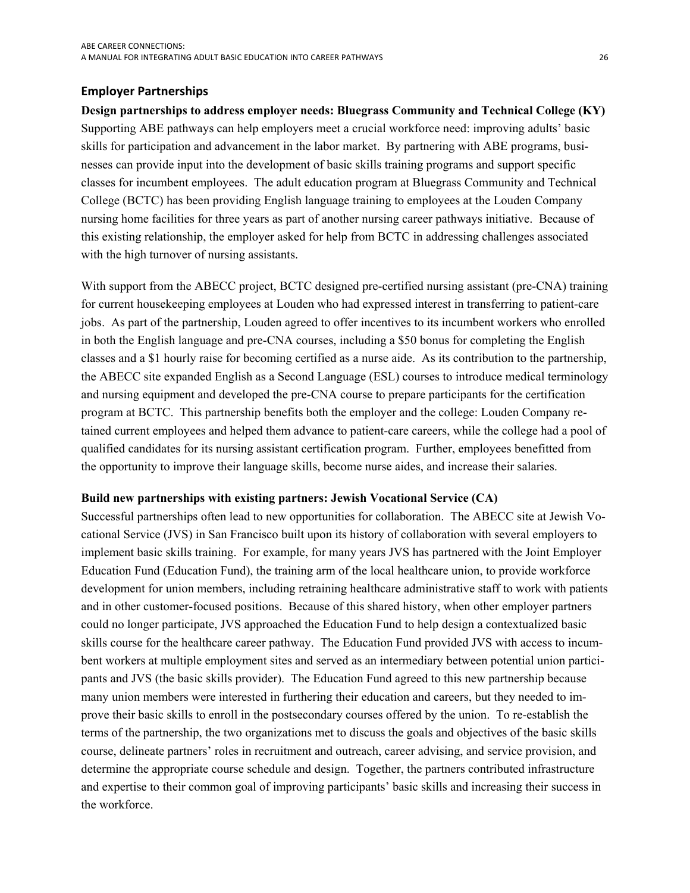#### <span id="page-27-0"></span>**Employer Partnerships**

**Design partnerships to address employer needs: Bluegrass Community and Technical College (KY)**  Supporting ABE pathways can help employers meet a crucial workforce need: improving adults' basic skills for participation and advancement in the labor market. By partnering with ABE programs, businesses can provide input into the development of basic skills training programs and support specific classes for incumbent employees. The adult education program at Bluegrass Community and Technical College (BCTC) has been providing English language training to employees at the Louden Company nursing home facilities for three years as part of another nursing career pathways initiative. Because of this existing relationship, the employer asked for help from BCTC in addressing challenges associated with the high turnover of nursing assistants.

 qualified candidates for its nursing assistant certification program. Further, employees benefitted from With support from the ABECC project, BCTC designed pre-certified nursing assistant (pre-CNA) training for current housekeeping employees at Louden who had expressed interest in transferring to patient-care jobs. As part of the partnership, Louden agreed to offer incentives to its incumbent workers who enrolled in both the English language and pre-CNA courses, including a \$50 bonus for completing the English classes and a \$1 hourly raise for becoming certified as a nurse aide. As its contribution to the partnership, the ABECC site expanded English as a Second Language (ESL) courses to introduce medical terminology and nursing equipment and developed the pre-CNA course to prepare participants for the certification program at BCTC. This partnership benefits both the employer and the college: Louden Company retained current employees and helped them advance to patient-care careers, while the college had a pool of the opportunity to improve their language skills, become nurse aides, and increase their salaries.

#### **Build new partnerships with existing partners: Jewish Vocational Service (CA)**

Successful partnerships often lead to new opportunities for collaboration. The ABECC site at Jewish Vocational Service (JVS) in San Francisco built upon its history of collaboration with several employers to implement basic skills training. For example, for many years JVS has partnered with the Joint Employer Education Fund (Education Fund), the training arm of the local healthcare union, to provide workforce development for union members, including retraining healthcare administrative staff to work with patients and in other customer-focused positions. Because of this shared history, when other employer partners could no longer participate, JVS approached the Education Fund to help design a contextualized basic skills course for the healthcare career pathway. The Education Fund provided JVS with access to incumbent workers at multiple employment sites and served as an intermediary between potential union participants and JVS (the basic skills provider). The Education Fund agreed to this new partnership because many union members were interested in furthering their education and careers, but they needed to improve their basic skills to enroll in the postsecondary courses offered by the union. To re-establish the terms of the partnership, the two organizations met to discuss the goals and objectives of the basic skills course, delineate partners' roles in recruitment and outreach, career advising, and service provision, and determine the appropriate course schedule and design. Together, the partners contributed infrastructure and expertise to their common goal of improving participants' basic skills and increasing their success in the workforce.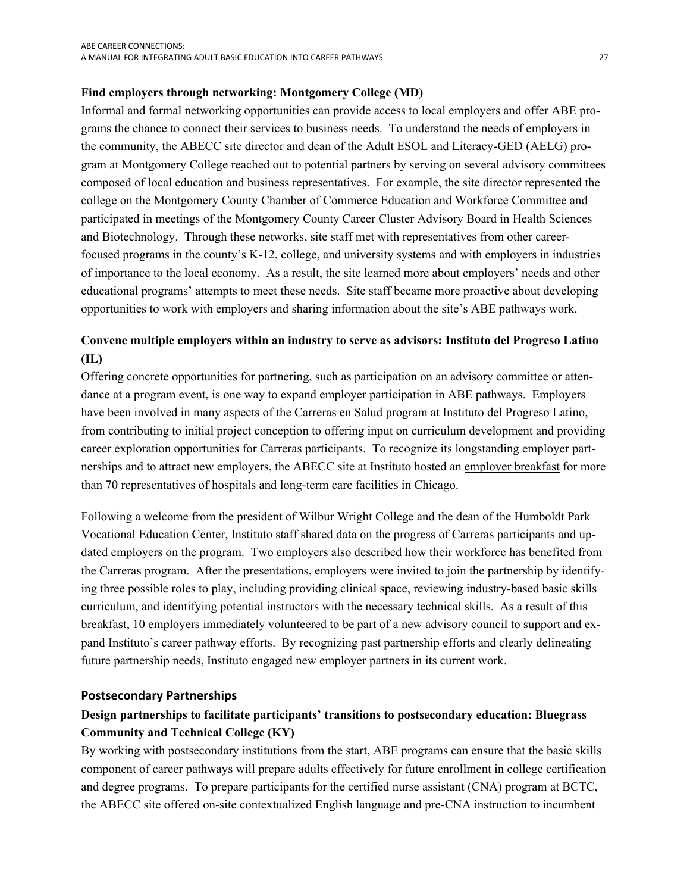#### <span id="page-28-0"></span>**Find employers through networking: Montgomery College (MD)**

 opportunities to work with employers and sharing information about the site's ABE pathways work. Informal and formal networking opportunities can provide access to local employers and offer ABE programs the chance to connect their services to business needs. To understand the needs of employers in the community, the ABECC site director and dean of the Adult ESOL and Literacy-GED (AELG) program at Montgomery College reached out to potential partners by serving on several advisory committees composed of local education and business representatives. For example, the site director represented the college on the Montgomery County Chamber of Commerce Education and Workforce Committee and participated in meetings of the Montgomery County Career Cluster Advisory Board in Health Sciences and Biotechnology. Through these networks, site staff met with representatives from other careerfocused programs in the county's K-12, college, and university systems and with employers in industries of importance to the local economy. As a result, the site learned more about employers' needs and other educational programs' attempts to meet these needs. Site staff became more proactive about developing

## **Convene multiple employers within an industry to serve as advisors: Instituto del Progreso Latino (IL)**

Offering concrete opportunities for partnering, such as participation on an advisory committee or attendance at a program event, is one way to expand employer participation in ABE pathways. Employers have been involved in many aspects of the Carreras en Salud program at Instituto del Progreso Latino, from contributing to initial project conception to offering input on curriculum development and providing career exploration opportunities for Carreras participants. To recognize its longstanding employer partnerships and to attract new employers, the ABECC site at Instituto hosted an employer breakfast for more than 70 representatives of hospitals and long-term care facilities in Chicago.

Following a welcome from the president of Wilbur Wright College and the dean of the Humboldt Park Vocational Education Center, Instituto staff shared data on the progress of Carreras participants and updated employers on the program. Two employers also described how their workforce has benefited from the Carreras program. After the presentations, employers were invited to join the partnership by identifying three possible roles to play, including providing clinical space, reviewing industry-based basic skills curriculum, and identifying potential instructors with the necessary technical skills. As a result of this breakfast, 10 employers immediately volunteered to be part of a new advisory council to support and expand Instituto's career pathway efforts. By recognizing past partnership efforts and clearly delineating future partnership needs, Instituto engaged new employer partners in its current work.

#### **Postsecondary Partnerships**

## **Design partnerships to facilitate participants' transitions to postsecondary education: Bluegrass Community and Technical College (KY)**

By working with postsecondary institutions from the start, ABE programs can ensure that the basic skills component of career pathways will prepare adults effectively for future enrollment in college certification and degree programs. To prepare participants for the certified nurse assistant (CNA) program at BCTC, the ABECC site offered on-site contextualized English language and pre-CNA instruction to incumbent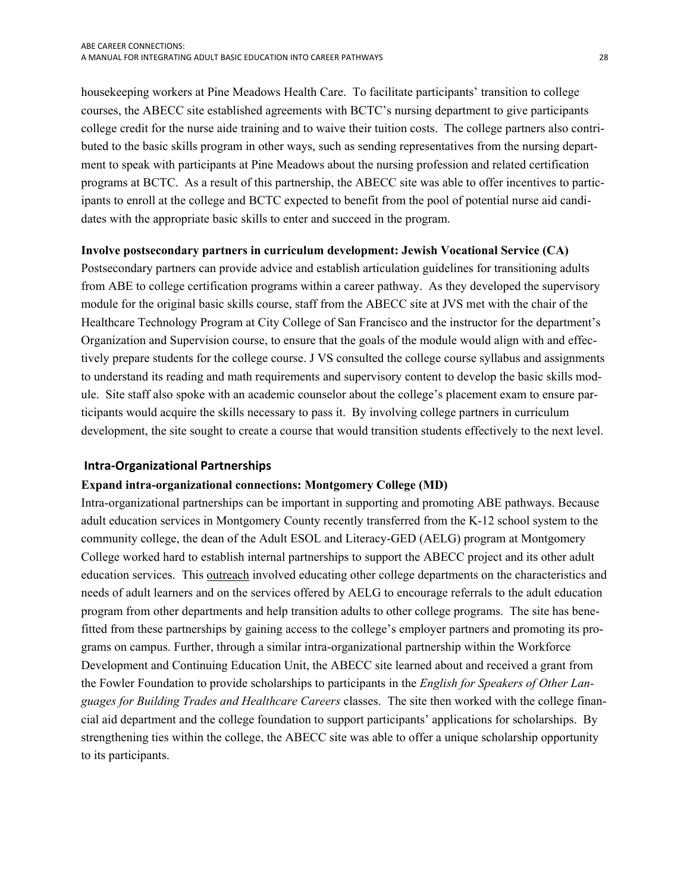<span id="page-29-0"></span>housekeeping workers at Pine Meadows Health Care. To facilitate participants' transition to college courses, the ABECC site established agreements with BCTC's nursing department to give participants college credit for the nurse aide training and to waive their tuition costs. The college partners also contributed to the basic skills program in other ways, such as sending representatives from the nursing department to speak with participants at Pine Meadows about the nursing profession and related certification programs at BCTC. As a result of this partnership, the ABECC site was able to offer incentives to participants to enroll at the college and BCTC expected to benefit from the pool of potential nurse aid candidates with the appropriate basic skills to enter and succeed in the program.

#### **Involve postsecondary partners in curriculum development: Jewish Vocational Service (CA)**

Postsecondary partners can provide advice and establish articulation guidelines for transitioning adults from ABE to college certification programs within a career pathway. As they developed the supervisory module for the original basic skills course, staff from the ABECC site at JVS met with the chair of the Healthcare Technology Program at City College of San Francisco and the instructor for the department's Organization and Supervision course, to ensure that the goals of the module would align with and effectively prepare students for the college course. J VS consulted the college course syllabus and assignments to understand its reading and math requirements and supervisory content to develop the basic skills module. Site staff also spoke with an academic counselor about the college's placement exam to ensure participants would acquire the skills necessary to pass it. By involving college partners in curriculum development, the site sought to create a course that would transition students effectively to the next level.

#### **Intra‐Organizational Partnerships**

#### **Expand intra-organizational connections: Montgomery College (MD)**

Intra-organizational partnerships can be important in supporting and promoting ABE pathways. Because adult education services in Montgomery County recently transferred from the K-12 school system to the community college, the dean of the Adult ESOL and Literacy-GED (AELG) program at Montgomery College worked hard to establish internal partnerships to support the ABECC project and its other adult education services. This outreach involved educating other college departments on the characteristics and needs of adult learners and on the services offered by AELG to encourage referrals to the adult education program from other departments and help transition adults to other college programs. The site has benefitted from these partnerships by gaining access to the college's employer partners and promoting its programs on campus. Further, through a similar intra-organizational partnership within the Workforce Development and Continuing Education Unit, the ABECC site learned about and received a grant from the Fowler Foundation to provide scholarships to participants in the *English for Speakers of Other Languages for Building Trades and Healthcare Careers* classes. The site then worked with the college financial aid department and the college foundation to support participants' applications for scholarships. By strengthening ties within the college, the ABECC site was able to offer a unique scholarship opportunity to its participants.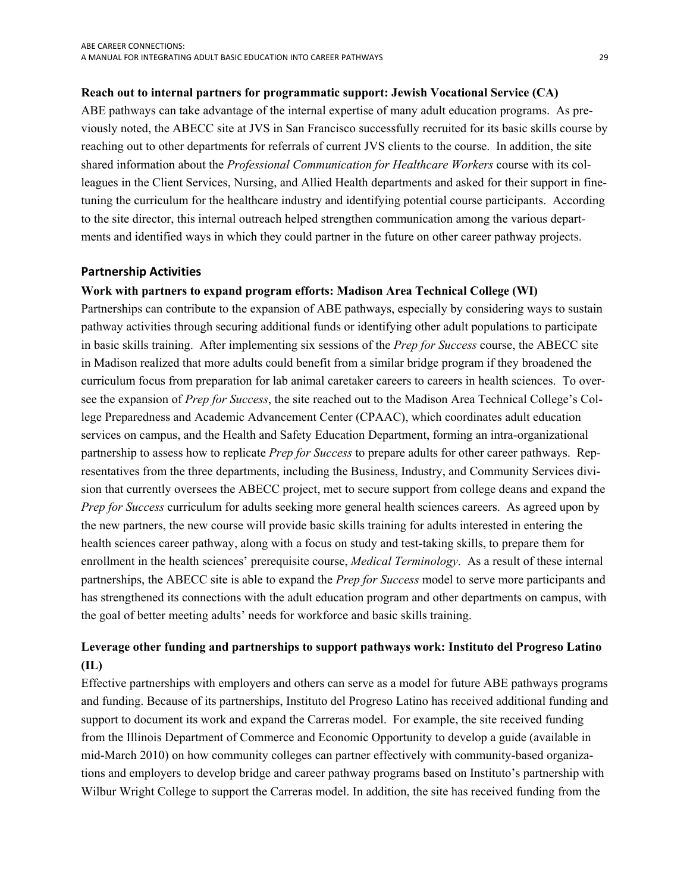#### <span id="page-30-0"></span>**Reach out to internal partners for programmatic support: Jewish Vocational Service (CA)**

ABE pathways can take advantage of the internal expertise of many adult education programs. As previously noted, the ABECC site at JVS in San Francisco successfully recruited for its basic skills course by reaching out to other departments for referrals of current JVS clients to the course. In addition, the site shared information about the *Professional Communication for Healthcare Workers* course with its colleagues in the Client Services, Nursing, and Allied Health departments and asked for their support in finetuning the curriculum for the healthcare industry and identifying potential course participants. According to the site director, this internal outreach helped strengthen communication among the various departments and identified ways in which they could partner in the future on other career pathway projects.

#### **Partnership Activities**

#### **Work with partners to expand program efforts: Madison Area Technical College (WI)**

Partnerships can contribute to the expansion of ABE pathways, especially by considering ways to sustain pathway activities through securing additional funds or identifying other adult populations to participate in basic skills training. After implementing six sessions of the *Prep for Success* course, the ABECC site in Madison realized that more adults could benefit from a similar bridge program if they broadened the curriculum focus from preparation for lab animal caretaker careers to careers in health sciences. To oversee the expansion of *Prep for Success*, the site reached out to the Madison Area Technical College's College Preparedness and Academic Advancement Center (CPAAC), which coordinates adult education services on campus, and the Health and Safety Education Department, forming an intra-organizational partnership to assess how to replicate *Prep for Success* to prepare adults for other career pathways. Representatives from the three departments, including the Business, Industry, and Community Services division that currently oversees the ABECC project, met to secure support from college deans and expand the *Prep for Success* curriculum for adults seeking more general health sciences careers. As agreed upon by the new partners, the new course will provide basic skills training for adults interested in entering the health sciences career pathway, along with a focus on study and test-taking skills, to prepare them for enrollment in the health sciences' prerequisite course, *Medical Terminology*. As a result of these internal partnerships, the ABECC site is able to expand the *Prep for Success* model to serve more participants and has strengthened its connections with the adult education program and other departments on campus, with the goal of better meeting adults' needs for workforce and basic skills training.

## **Leverage other funding and partnerships to support pathways work: Instituto del Progreso Latino (IL)**

Effective partnerships with employers and others can serve as a model for future ABE pathways programs and funding. Because of its partnerships, Instituto del Progreso Latino has received additional funding and support to document its work and expand the Carreras model. For example, the site received funding from the Illinois Department of Commerce and Economic Opportunity to develop a guide (available in mid-March 2010) on how community colleges can partner effectively with community-based organizations and employers to develop bridge and career pathway programs based on Instituto's partnership with Wilbur Wright College to support the Carreras model. In addition, the site has received funding from the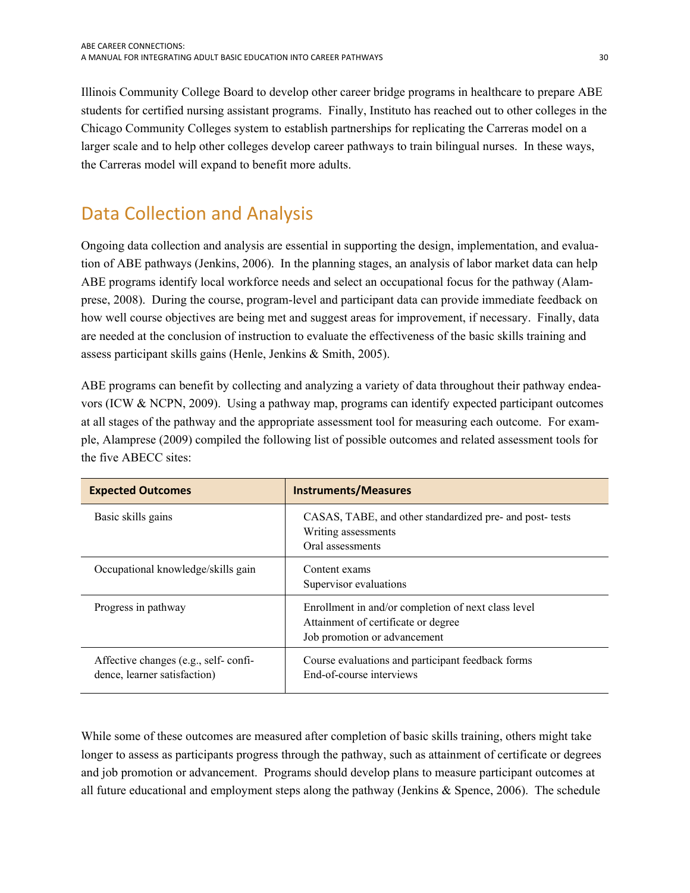<span id="page-31-0"></span>Illinois Community College Board to develop other career bridge programs in healthcare to prepare ABE students for certified nursing assistant programs. Finally, Instituto has reached out to other colleges in the Chicago Community Colleges system to establish partnerships for replicating the Carreras model on a larger scale and to help other colleges develop career pathways to train bilingual nurses. In these ways, the Carreras model will expand to benefit more adults.

## <span id="page-31-1"></span>Data Collection and Analysis

Ongoing data collection and analysis are essential in supporting the design, implementation, and evaluation of ABE pathways (Jenkins, 2006). In the planning stages, an analysis of labor market data can help ABE programs identify local workforce needs and select an occupational focus for the pathway (Alamprese, 2008). During the course, program-level and participant data can provide immediate feedback on how well course objectives are being met and suggest areas for improvement, if necessary. Finally, data are needed at the conclusion of instruction to evaluate the effectiveness of the basic skills training and assess participant skills gains (Henle, Jenkins & Smith, 2005).

ABE programs can benefit by collecting and analyzing a variety of data throughout their pathway endeavors (ICW & NCPN, 2009). Using a pathway map, programs can identify expected participant outcomes at all stages of the pathway and the appropriate assessment tool for measuring each outcome. For example, Alamprese (2009) compiled the following list of possible outcomes and related assessment tools for the five ABECC sites:

| <b>Expected Outcomes</b>                                             | <b>Instruments/Measures</b>                                                                                                |
|----------------------------------------------------------------------|----------------------------------------------------------------------------------------------------------------------------|
| Basic skills gains                                                   | CASAS, TABE, and other standardized pre- and post- tests<br>Writing assessments<br>Oral assessments                        |
| Occupational knowledge/skills gain                                   | Content exams<br>Supervisor evaluations                                                                                    |
| Progress in pathway                                                  | Enrollment in and/or completion of next class level<br>Attainment of certificate or degree<br>Job promotion or advancement |
| Affective changes (e.g., self-confi-<br>dence, learner satisfaction) | Course evaluations and participant feedback forms<br>End-of-course interviews                                              |

While some of these outcomes are measured after completion of basic skills training, others might take longer to assess as participants progress through the pathway, such as attainment of certificate or degrees and job promotion or advancement. Programs should develop plans to measure participant outcomes at all future educational and employment steps along the pathway (Jenkins & Spence, 2006). The schedule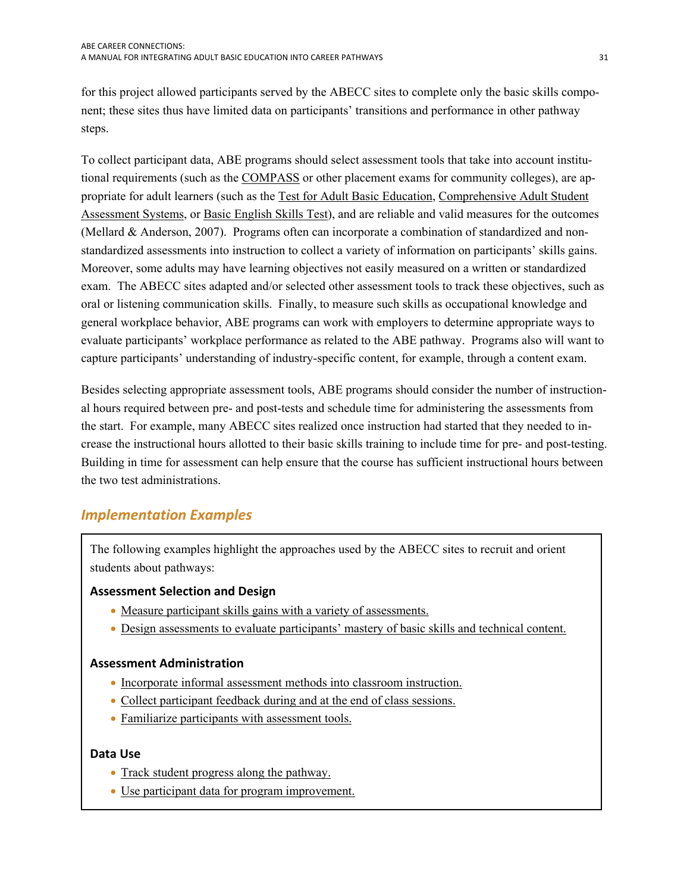<span id="page-32-0"></span>for this project allowed participants served by the ABECC sites to complete only the basic skills component; these sites thus have limited data on participants' transitions and performance in other pathway steps.

To collect participant data, ABE programs should select assessment tools that take into account institutional requirements (such as the [COMPASS](http://www.act.org/compass/) or other placement exams for community colleges), are appropriate for adult learners (such as the [Test for Adult Basic Education,](http://sabes.org/assessment/tabe.htm) [Comprehensive Adult Student](https://www.casas.org/home/index.cfm?fuseaction=home.showContent&MapID=197)  [Assessment Systems](https://www.casas.org/home/index.cfm?fuseaction=home.showContent&MapID=197), or [Basic English Skills Test\)](http://www.cal.org/topics/ta/bestliteracy.html), and are reliable and valid measures for the outcomes (Mellard & Anderson, 2007). Programs often can incorporate a combination of standardized and nonstandardized assessments into instruction to collect a variety of information on participants' skills gains. Moreover, some adults may have learning objectives not easily measured on a written or standardized exam. The ABECC sites adapted and/or selected other assessment tools to track these objectives, such as oral or listening communication skills. Finally, to measure such skills as occupational knowledge and general workplace behavior, ABE programs can work with employers to determine appropriate ways to evaluate participants' workplace performance as related to the ABE pathway. Programs also will want to capture participants' understanding of industry-specific content, for example, through a content exam.

Besides selecting appropriate assessment tools, ABE programs should consider the number of instructional hours required between pre- and post-tests and schedule time for administering the assessments from the start. For example, many ABECC sites realized once instruction had started that they needed to increase the instructional hours allotted to their basic skills training to include time for pre- and post-testing. Building in time for assessment can help ensure that the course has sufficient instructional hours between the two test administrations.

## <span id="page-32-1"></span> *Implementation Examples*

The following examples highlight the approaches used by the ABECC sites to recruit and orient students about pathways:

### **Assessment Selection and Design**

- [Measure participant skills gains with a variety of assessments.](#page-33-0)
- [Design assessments to evaluate participants' mastery of basic skills and technical content.](#page-33-0)

### **Assessment Administration**

- [Incorporate informal assessment methods into classroom instruction.](#page-33-0)
- [Collect participant feedback during and at the end of class sessions.](#page-34-0)
- [Familiarize participants with assessment tools.](#page-34-0)

#### **Data Use**

- Track student progress along the pathway.
- [Use participant data for program improvement.](#page-35-0)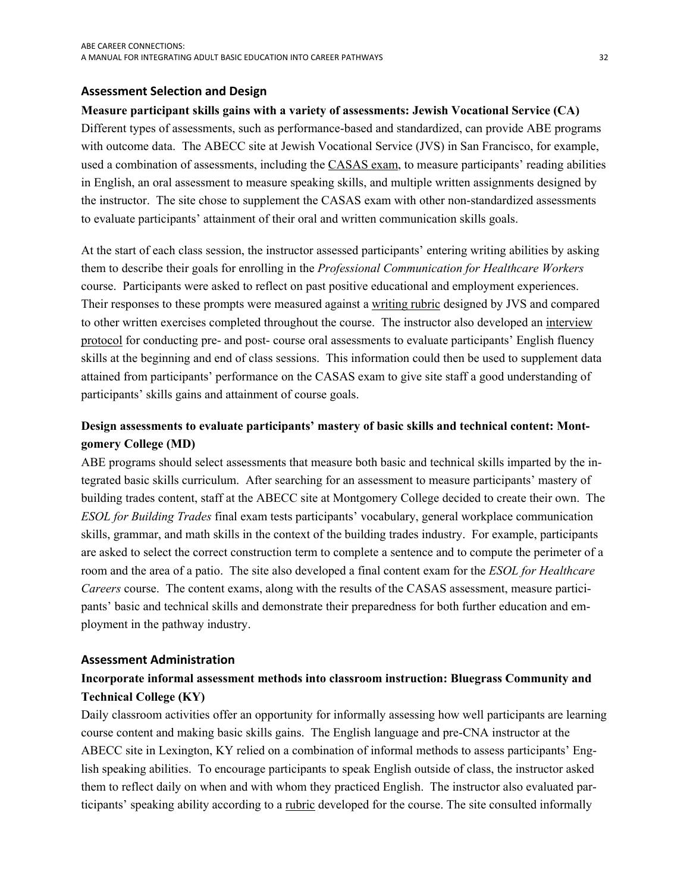#### <span id="page-33-0"></span> **Assessment Selection and Design**

## **Measure participant skills gains with a variety of assessments: Jewish Vocational Service (CA)**

Different types of assessments, such as performance-based and standardized, can provide ABE programs with outcome data. The ABECC site at Jewish Vocational Service (JVS) in San Francisco, for example, used a combination of assessments, including the [CASAS exam](https://www.casas.org/home/), to measure participants' reading abilities in English, an oral assessment to measure speaking skills, and multiple written assignments designed by the instructor. The site chose to supplement the CASAS exam with other non-standardized assessments to evaluate participants' attainment of their oral and written communication skills goals.

At the start of each class session, the instructor assessed participants' entering writing abilities by asking them to describe their goals for enrolling in the *Professional Communication for Healthcare Workers*  course. Participants were asked to reflect on past positive educational and employment experiences. Their responses to these prompts were measured against a writing rubric designed by JVS and compared to other written exercises completed throughout the course. The instructor also developed an interview protocol for conducting pre- and post- course oral assessments to evaluate participants' English fluency skills at the beginning and end of class sessions. This information could then be used to supplement data attained from participants' performance on the CASAS exam to give site staff a good understanding of participants' skills gains and attainment of course goals.

## **Design assessments to evaluate participants' mastery of basic skills and technical content: Montgomery College (MD)**

ABE programs should select assessments that measure both basic and technical skills imparted by the integrated basic skills curriculum. After searching for an assessment to measure participants' mastery of building trades content, staff at the ABECC site at Montgomery College decided to create their own. The *ESOL for Building Trades* final exam tests participants' vocabulary, general workplace communication skills, grammar, and math skills in the context of the building trades industry. For example, participants are asked to select the correct construction term to complete a sentence and to compute the perimeter of a room and the area of a patio. The site also developed a final content exam for the *ESOL for Healthcare Careers* course. The content exams, along with the results of the CASAS assessment, measure participants' basic and technical skills and demonstrate their preparedness for both further education and employment in the pathway industry.

#### **Assessment Administration**

## **Incorporate informal assessment methods into classroom instruction: Bluegrass Community and Technical College (KY)**

Daily classroom activities offer an opportunity for informally assessing how well participants are learning course content and making basic skills gains. The English language and pre-CNA instructor at the ABECC site in Lexington, KY relied on a combination of informal methods to assess participants' English speaking abilities. To encourage participants to speak English outside of class, the instructor asked them to reflect daily on when and with whom they practiced English. The instructor also evaluated participants' speaking ability according to a rubric developed for the course. The site consulted informally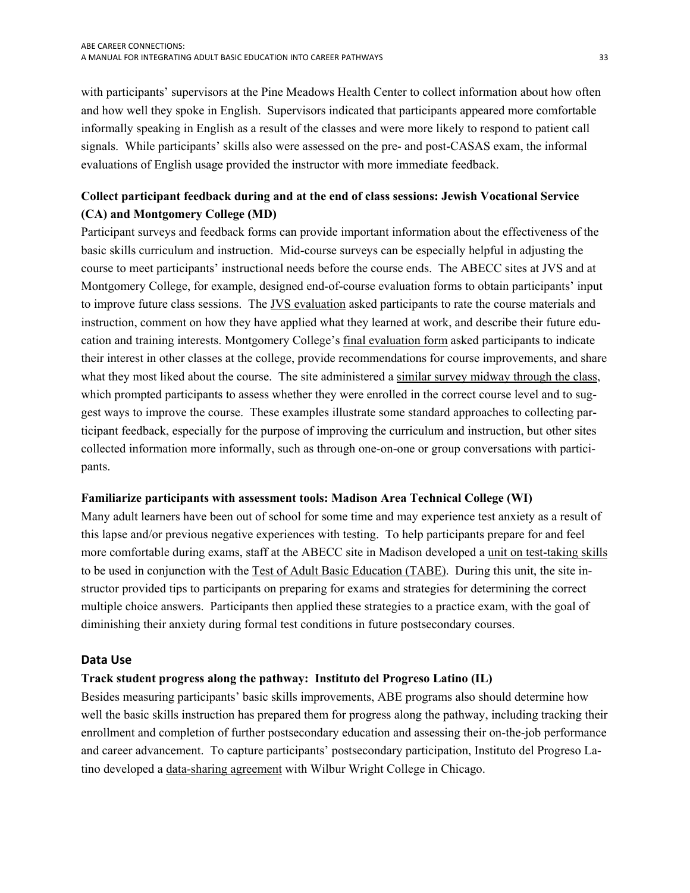<span id="page-34-0"></span>with participants' supervisors at the Pine Meadows Health Center to collect information about how often and how well they spoke in English. Supervisors indicated that participants appeared more comfortable informally speaking in English as a result of the classes and were more likely to respond to patient call signals. While participants' skills also were assessed on the pre- and post-CASAS exam, the informal evaluations of English usage provided the instructor with more immediate feedback.

## **Collect participant feedback during and at the end of class sessions: Jewish Vocational Service (CA) and Montgomery College (MD)**

Participant surveys and feedback forms can provide important information about the effectiveness of the basic skills curriculum and instruction. Mid-course surveys can be especially helpful in adjusting the course to meet participants' instructional needs before the course ends. The ABECC sites at JVS and at Montgomery College, for example, designed end-of-course evaluation forms to obtain participants' input to improve future class sessions. The JVS evaluation asked participants to rate the course materials and instruction, comment on how they have applied what they learned at work, and describe their future education and training interests. Montgomery College's final evaluation form asked participants to indicate their interest in other classes at the college, provide recommendations for course improvements, and share what they most liked about the course. The site administered a similar survey midway through the class, which prompted participants to assess whether they were enrolled in the correct course level and to suggest ways to improve the course. These examples illustrate some standard approaches to collecting participant feedback, especially for the purpose of improving the curriculum and instruction, but other sites collected information more informally, such as through one-on-one or group conversations with participants.

#### **Familiarize participants with assessment tools: Madison Area Technical College (WI)**

Many adult learners have been out of school for some time and may experience test anxiety as a result of this lapse and/or previous negative experiences with testing. To help participants prepare for and feel more comfortable during exams, staff at the ABECC site in Madison developed a unit on test-taking skills to be used in conjunction with the [Test of Adult Basic Education \(TABE\).](http://sabes.org/assessment/tabe.htm) During this unit, the site instructor provided tips to participants on preparing for exams and strategies for determining the correct multiple choice answers. Participants then applied these strategies to a practice exam, with the goal of diminishing their anxiety during formal test conditions in future postsecondary courses.

#### **Data Use**

#### **Track student progress along the pathway: Instituto del Progreso Latino (IL)**

Besides measuring participants' basic skills improvements, ABE programs also should determine how well the basic skills instruction has prepared them for progress along the pathway, including tracking their enrollment and completion of further postsecondary education and assessing their on-the-job performance and career advancement. To capture participants' postsecondary participation, Instituto del Progreso Latino developed a data-sharing agreement with Wilbur Wright College in Chicago.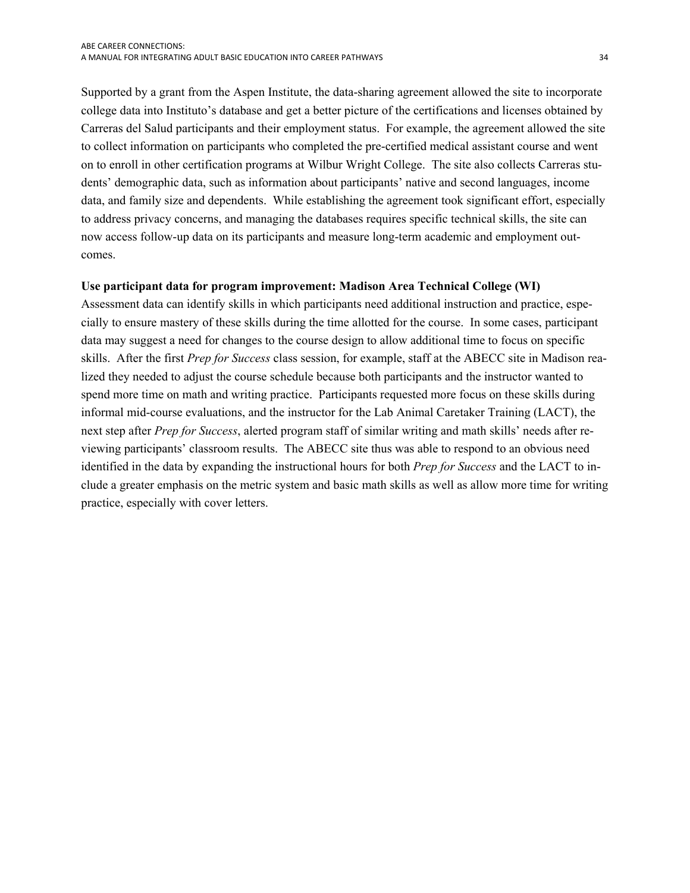<span id="page-35-0"></span>Supported by a grant from the Aspen Institute, the data-sharing agreement allowed the site to incorporate college data into Instituto's database and get a better picture of the certifications and licenses obtained by Carreras del Salud participants and their employment status. For example, the agreement allowed the site to collect information on participants who completed the pre-certified medical assistant course and went on to enroll in other certification programs at Wilbur Wright College. The site also collects Carreras students' demographic data, such as information about participants' native and second languages, income data, and family size and dependents. While establishing the agreement took significant effort, especially to address privacy concerns, and managing the databases requires specific technical skills, the site can now access follow-up data on its participants and measure long-term academic and employment outcomes.

#### **Use participant data for program improvement: Madison Area Technical College (WI)**

Assessment data can identify skills in which participants need additional instruction and practice, especially to ensure mastery of these skills during the time allotted for the course. In some cases, participant data may suggest a need for changes to the course design to allow additional time to focus on specific skills. After the first *Prep for Success* class session, for example, staff at the ABECC site in Madison realized they needed to adjust the course schedule because both participants and the instructor wanted to spend more time on math and writing practice. Participants requested more focus on these skills during informal mid-course evaluations, and the instructor for the Lab Animal Caretaker Training (LACT), the next step after *Prep for Success*, alerted program staff of similar writing and math skills' needs after reviewing participants' classroom results. The ABECC site thus was able to respond to an obvious need identified in the data by expanding the instructional hours for both *Prep for Success* and the LACT to include a greater emphasis on the metric system and basic math skills as well as allow more time for writing practice, especially with cover letters.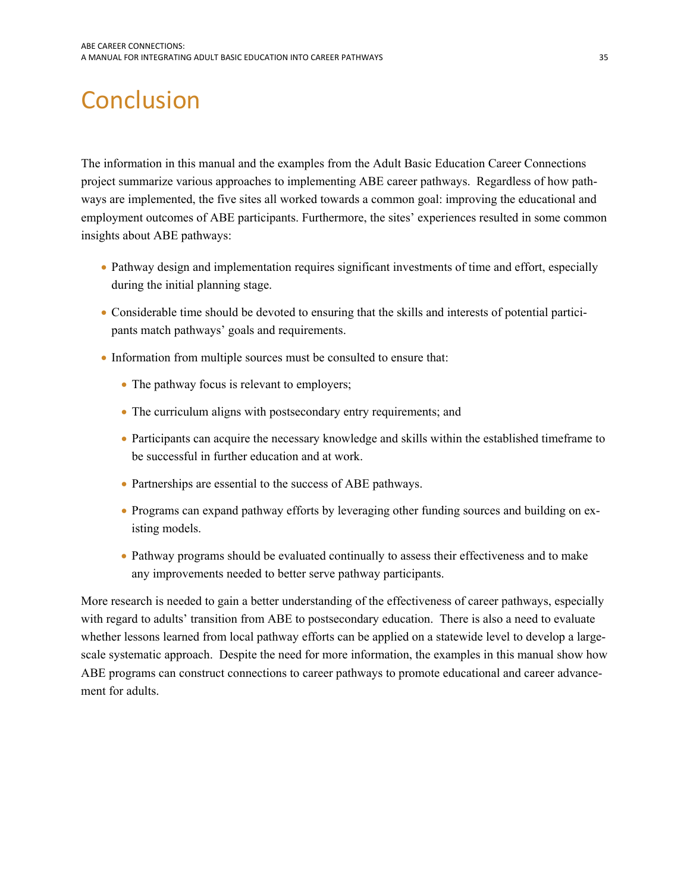# <span id="page-36-1"></span><span id="page-36-0"></span>**Conclusion**

The information in this manual and the examples from the Adult Basic Education Career Connections project summarize various approaches to implementing ABE career pathways. Regardless of how pathways are implemented, the five sites all worked towards a common goal: improving the educational and employment outcomes of ABE participants. Furthermore, the sites' experiences resulted in some common insights about ABE pathways:

- Pathway design and implementation requires significant investments of time and effort, especially during the initial planning stage.
- Considerable time should be devoted to ensuring that the skills and interests of potential participants match pathways' goals and requirements.
- Information from multiple sources must be consulted to ensure that:
	- The pathway focus is relevant to employers;
	- The curriculum aligns with postsecondary entry requirements; and
	- Participants can acquire the necessary knowledge and skills within the established timeframe to be successful in further education and at work.
	- Partnerships are essential to the success of ABE pathways.
	- Programs can expand pathway efforts by leveraging other funding sources and building on existing models.
	- Pathway programs should be evaluated continually to assess their effectiveness and to make any improvements needed to better serve pathway participants.

More research is needed to gain a better understanding of the effectiveness of career pathways, especially with regard to adults' transition from ABE to postsecondary education. There is also a need to evaluate whether lessons learned from local pathway efforts can be applied on a statewide level to develop a largescale systematic approach. Despite the need for more information, the examples in this manual show how ABE programs can construct connections to career pathways to promote educational and career advancement for adults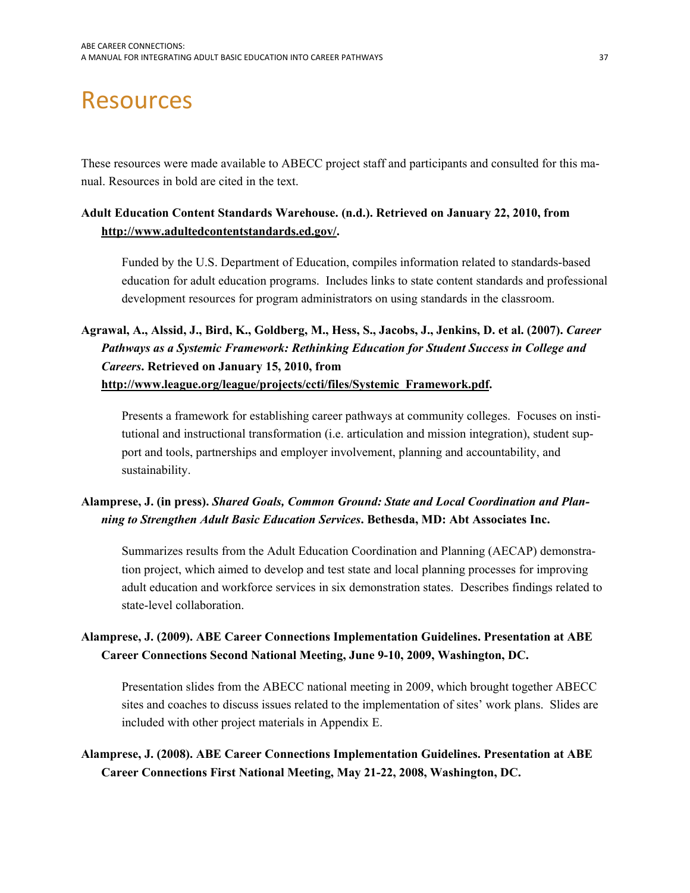# <span id="page-38-1"></span><span id="page-38-0"></span>Resources

These resources were made available to ABECC project staff and participants and consulted for this manual. Resources in bold are cited in the text.

## **Adult Education Content Standards Warehouse. (n.d.). Retrieved on January 22, 2010, from [http://www.adultedcontentstandards.ed.gov/.](http://www.adultedcontentstandards.ed.gov/)**

Funded by the U.S. Department of Education, compiles information related to standards-based education for adult education programs. Includes links to state content standards and professional development resources for program administrators on using standards in the classroom.

## **Agrawal, A., Alssid, J., Bird, K., Goldberg, M., Hess, S., Jacobs, J., Jenkins, D. et al. (2007).** *Career Pathways as a Systemic Framework: Rethinking Education for Student Success in College and Careers***. Retrieved on January 15, 2010, from [http://www.league.org/league/projects/ccti/files/Systemic\\_Framework.pdf](http://www.league.org/league/projects/ccti/files/Systemic_Framework.pdf).**

Presents a framework for establishing career pathways at community colleges. Focuses on institutional and instructional transformation (i.e. articulation and mission integration), student support and tools, partnerships and employer involvement, planning and accountability, and sustainability.

## **Alamprese, J. (in press).** *Shared Goals, Common Ground: State and Local Coordination and Planning to Strengthen Adult Basic Education Services***. Bethesda, MD: Abt Associates Inc.**

Summarizes results from the Adult Education Coordination and Planning (AECAP) demonstration project, which aimed to develop and test state and local planning processes for improving adult education and workforce services in six demonstration states. Describes findings related to state-level collaboration.

## **Alamprese, J. (2009). ABE Career Connections Implementation Guidelines. Presentation at ABE Career Connections Second National Meeting, June 9-10, 2009, Washington, DC.**

Presentation slides from the ABECC national meeting in 2009, which brought together ABECC sites and coaches to discuss issues related to the implementation of sites' work plans. Slides are included with other project materials in Appendix E.

## **Alamprese, J. (2008). ABE Career Connections Implementation Guidelines. Presentation at ABE Career Connections First National Meeting, May 21-22, 2008, Washington, DC.**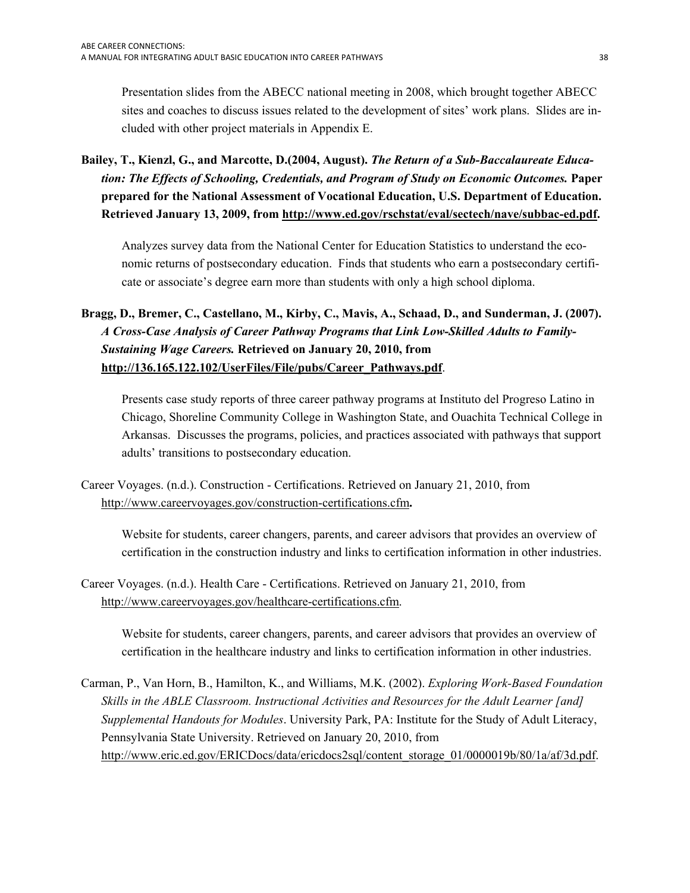Presentation slides from the ABECC national meeting in 2008, which brought together ABECC sites and coaches to discuss issues related to the development of sites' work plans. Slides are included with other project materials in Appendix E.

**Bailey, T., Kienzl, G., and Marcotte, D.(2004, August).** *The Return of a Sub-Baccalaureate Education: The Effects of Schooling, Credentials, and Program of Study on Economic Outcomes.* **Paper prepared for the National Assessment of Vocational Education, U.S. Department of Education. Retrieved January 13, 2009, from [http://www.ed.gov/rschstat/eval/sectech/nave/subbac-ed.pdf.](http://www.ed.gov/rschstat/eval/sectech/nave/subbac-ed.pdf)** 

Analyzes survey data from the National Center for Education Statistics to understand the economic returns of postsecondary education. Finds that students who earn a postsecondary certificate or associate's degree earn more than students with only a high school diploma.

## Bragg, D., Bremer, C., Castellano, M., Kirby, C., Mavis, A., Schaad, D., and Sunderman, J. (2007). *A Cross-Case Analysis of Career Pathway Programs that Link Low-Skilled Adults to Family-Sustaining Wage Careers.* **Retrieved on January 20, 2010, from [http://136.165.122.102/UserFiles/File/pubs/Career\\_Pathways.pdf](http://136.165.122.102/UserFiles/File/pubs/Career_Pathways.pdf)**.

Presents case study reports of three career pathway programs at Instituto del Progreso Latino in Chicago, Shoreline Community College in Washington State, and Ouachita Technical College in Arkansas. Discusses the programs, policies, and practices associated with pathways that support adults' transitions to postsecondary education.

Career Voyages. (n.d.). Construction - Certifications. Retrieved on January 21, 2010, from <http://www.careervoyages.gov/construction-certifications.cfm>**.** 

Website for students, career changers, parents, and career advisors that provides an overview of certification in the construction industry and links to certification information in other industries.

Career Voyages. (n.d.). Health Care - Certifications. Retrieved on January 21, 2010, from <http://www.careervoyages.gov/healthcare-certifications.cfm>.

Website for students, career changers, parents, and career advisors that provides an overview of certification in the healthcare industry and links to certification information in other industries.

Carman, P., Van Horn, B., Hamilton, K., and Williams, M.K. (2002). *Exploring Work-Based Foundation Skills in the ABLE Classroom. Instructional Activities and Resources for the Adult Learner [and] Supplemental Handouts for Modules*. University Park, PA: Institute for the Study of Adult Literacy, Pennsylvania State University. Retrieved on January 20, 2010, from [http://www.eric.ed.gov/ERICDocs/data/ericdocs2sql/content\\_storage\\_01/0000019b/80/1a/af/3d.pdf.](http://www.eric.ed.gov/ERICDocs/data/ericdocs2sql/content_storage_01/0000019b/80/1a/af/3d.pdf)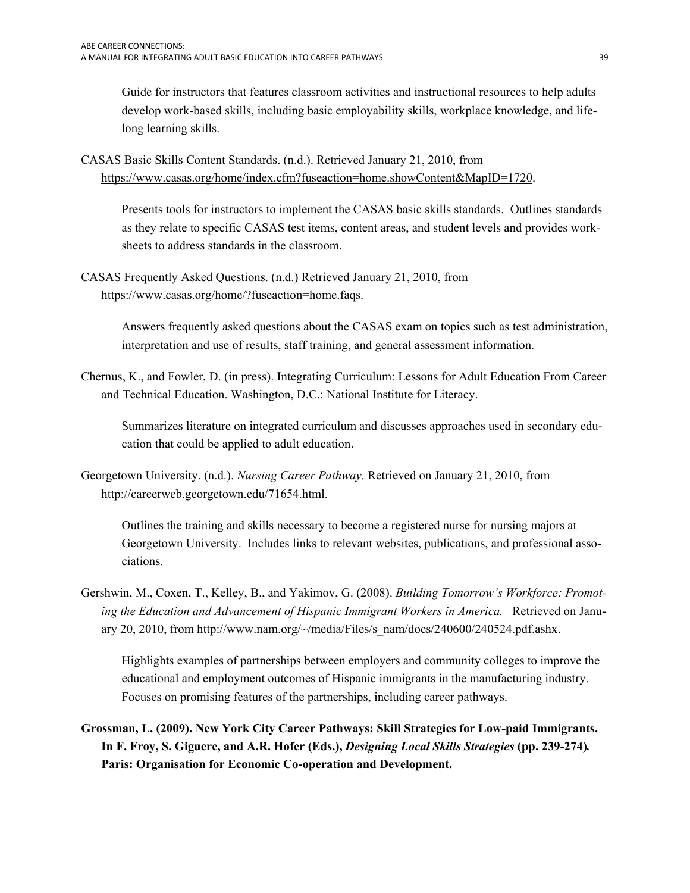Guide for instructors that features classroom activities and instructional resources to help adults develop work-based skills, including basic employability skills, workplace knowledge, and lifelong learning skills.

CASAS Basic Skills Content Standards. (n.d.). Retrieved January 21, 2010, from [https://www.casas.org/home/index.cfm?fuseaction=home.showContent&MapID=1720.](https://www.casas.org/home/index.cfm?fuseaction=home.showContent&MapID=1720)

Presents tools for instructors to implement the CASAS basic skills standards. Outlines standards as they relate to specific CASAS test items, content areas, and student levels and provides worksheets to address standards in the classroom.

CASAS Frequently Asked Questions. (n.d.) Retrieved January 21, 2010, from <https://www.casas.org/home/?fuseaction=home.faqs>.

> Answers frequently asked questions about the CASAS exam on topics such as test administration, interpretation and use of results, staff training, and general assessment information.

Chernus, K., and Fowler, D. (in press). Integrating Curriculum: Lessons for Adult Education From Career and Technical Education. Washington, D.C.: National Institute for Literacy.

Summarizes literature on integrated curriculum and discusses approaches used in secondary education that could be applied to adult education.

Georgetown University. (n.d.). *Nursing Career Pathway.* Retrieved on January 21, 2010, from <http://careerweb.georgetown.edu/71654.html>.

Outlines the training and skills necessary to become a registered nurse for nursing majors at Georgetown University. Includes links to relevant websites, publications, and professional associations.

Gershwin, M., Coxen, T., Kelley, B., and Yakimov, G. (2008). *Building Tomorrow's Workforce: Promoting the Education and Advancement of Hispanic Immigrant Workers in America.* Retrieved on January 20, 2010, from http://www.nam.org/ $\sim$ /media/Files/s\_nam/docs/240600/240524.pdf.ashx.

Highlights examples of partnerships between employers and community colleges to improve the educational and employment outcomes of Hispanic immigrants in the manufacturing industry. Focuses on promising features of the partnerships, including career pathways.

**Grossman, L. (2009). New York City Career Pathways: Skill Strategies for Low-paid Immigrants. In F. Froy, S. Giguere, and A.R. Hofer (Eds.),** *Designing Local Skills Strategies* **(pp. 239-274)***.*  **Paris: Organisation for Economic Co-operation and Development.**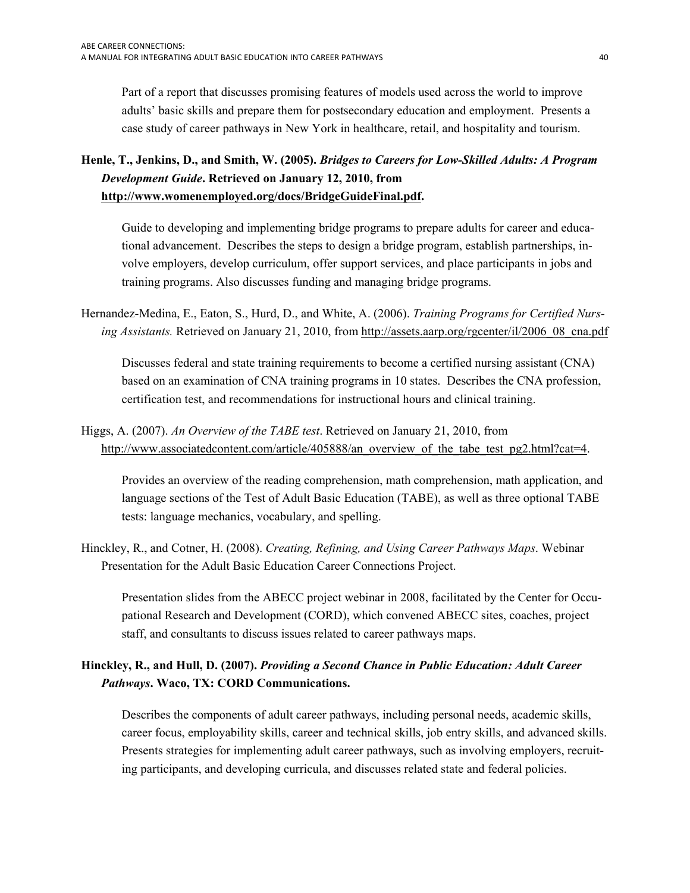case study of career pathways in New York in healthcare, retail, and hospitality and tourism. Part of a report that discusses promising features of models used across the world to improve adults' basic skills and prepare them for postsecondary education and employment. Presents a

## **Henle, T., Jenkins, D., and Smith, W. (2005).** *Bridges to Careers for Low-Skilled Adults: A Program Development Guide***. Retrieved on January 12, 2010, from [http://www.womenemployed.org/docs/BridgeGuideFinal.pdf.](http://www.womenemployed.org/docs/BridgeGuideFinal.pdf)**

Guide to developing and implementing bridge programs to prepare adults for career and educational advancement. Describes the steps to design a bridge program, establish partnerships, involve employers, develop curriculum, offer support services, and place participants in jobs and training programs. Also discusses funding and managing bridge programs.

*ing Assistants.* Retrieved on January 21, 2010, from [http://assets.aarp.org/rgcenter/il/2006\\_08\\_cna.pdf](http://assets.aarp.org/rgcenter/il/2006_08_cna.pdf) Discusses federal and state training requirements to become a certified nursing assistant (CNA) Hernandez-Medina, E., Eaton, S., Hurd, D., and White, A. (2006). *Training Programs for Certified Nurs-*

based on an examination of CNA training programs in 10 states. Describes the CNA profession, certification test, and recommendations for instructional hours and clinical training.

Higgs, A. (2007). *An Overview of the TABE test*. Retrieved on January 21, 2010, from [http://www.associatedcontent.com/article/405888/an\\_overview\\_of\\_the\\_tabe\\_test\\_pg2.html?cat=4](http://www.associatedcontent.com/article/405888/an_overview_of_the_tabe_test_pg2.html?cat=4).

Provides an overview of the reading comprehension, math comprehension, math application, and language sections of the Test of Adult Basic Education (TABE), as well as three optional TABE tests: language mechanics, vocabulary, and spelling.

Hinckley, R., and Cotner, H. (2008). *Creating, Refining, and Using Career Pathways Maps*. Webinar Presentation for the Adult Basic Education Career Connections Project.

Presentation slides from the ABECC project webinar in 2008, facilitated by the Center for Occupational Research and Development (CORD), which convened ABECC sites, coaches, project staff, and consultants to discuss issues related to career pathways maps.

## **Hinckley, R., and Hull, D. (2007).** *Providing a Second Chance in Public Education: Adult Career Pathways***. Waco, TX: CORD Communications.**

Describes the components of adult career pathways, including personal needs, academic skills, career focus, employability skills, career and technical skills, job entry skills, and advanced skills. Presents strategies for implementing adult career pathways, such as involving employers, recruiting participants, and developing curricula, and discusses related state and federal policies.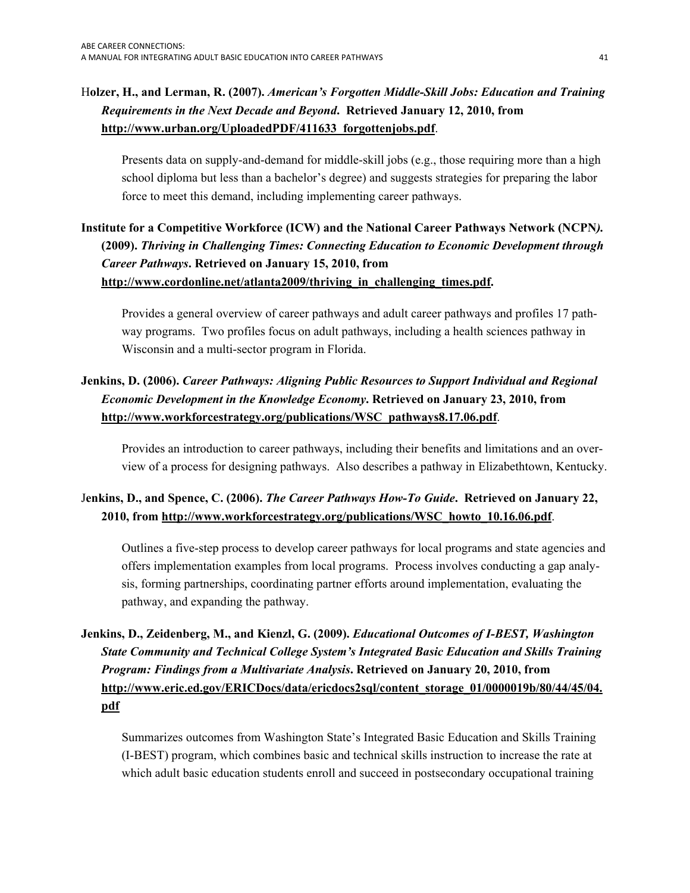## H**olzer, H., and Lerman, R. (2007).** *American's Forgotten Middle-Skill Jobs: Education and Training Requirements in the Next Decade and Beyond***. Retrieved January 12, 2010, from [http://www.urban.org/UploadedPDF/411633\\_forgottenjobs.pdf](http://www.urban.org/UploadedPDF/411633_forgottenjobs.pdf)**.

Presents data on supply-and-demand for middle-skill jobs (e.g., those requiring more than a high school diploma but less than a bachelor's degree) and suggests strategies for preparing the labor force to meet this demand, including implementing career pathways.

## **Institute for a Competitive Workforce (ICW) and the National Career Pathways Network (NCPN***).*  **(2009).** *Thriving in Challenging Times: Connecting Education to Economic Development through Career Pathways***. Retrieved on January 15, 2010, from [http://www.cordonline.net/atlanta2009/thriving\\_in\\_challenging\\_times.pdf.](http://www.cordonline.net/atlanta2009/thriving_in_challenging_times.pdf)**

Provides a general overview of career pathways and adult career pathways and profiles 17 pathway programs. Two profiles focus on adult pathways, including a health sciences pathway in Wisconsin and a multi-sector program in Florida.

## **Jenkins, D. (2006).** *Career Pathways: Aligning Public Resources to Support Individual and Regional Economic Development in the Knowledge Economy***. Retrieved on January 23, 2010, from [http://www.workforcestrategy.org/publications/WSC\\_pathways8.17.06.pdf](http://www.workforcestrategy.org/publications/WSC_pathways8.17.06.pdf)**.

Provides an introduction to career pathways, including their benefits and limitations and an overview of a process for designing pathways. Also describes a pathway in Elizabethtown, Kentucky.

## J**enkins, D., and Spence, C. (2006).** *The Career Pathways How-To Guide***. Retrieved on January 22, 2010, from [http://www.workforcestrategy.org/publications/WSC\\_howto\\_10.16.06.pdf](http://www.workforcestrategy.org/publications/WSC_howto_10.16.06.pdf)**.

Outlines a five-step process to develop career pathways for local programs and state agencies and offers implementation examples from local programs. Process involves conducting a gap analysis, forming partnerships, coordinating partner efforts around implementation, evaluating the pathway, and expanding the pathway.

## **Jenkins, D., Zeidenberg, M., and Kienzl, G. (2009).** *Educational Outcomes of I-BEST, Washington State Community and Technical College System's Integrated Basic Education and Skills Training Program: Findings from a Multivariate Analysis***. Retrieved on January 20, 2010, from [http://www.eric.ed.gov/ERICDocs/data/ericdocs2sql/content\\_storage\\_01/0000019b/80/44/45/04.](http://www.eric.ed.gov/ERICDocs/data/ericdocs2sql/content_storage_01/0000019b/80/44/45/04.pdf)  [pdf](http://www.eric.ed.gov/ERICDocs/data/ericdocs2sql/content_storage_01/0000019b/80/44/45/04.pdf)**

Summarizes outcomes from Washington State's Integrated Basic Education and Skills Training (I-BEST) program, which combines basic and technical skills instruction to increase the rate at which adult basic education students enroll and succeed in postsecondary occupational training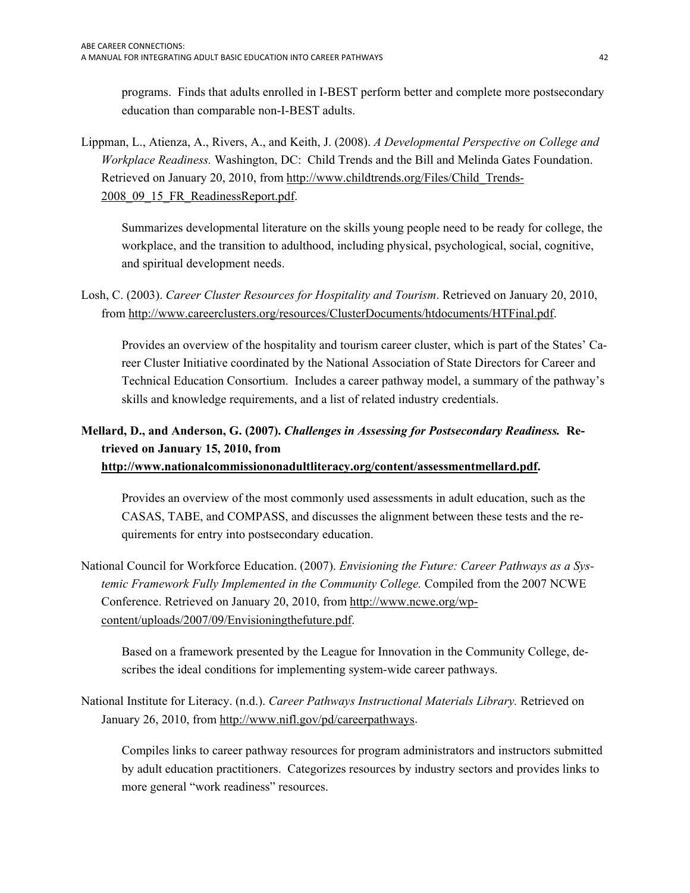programs. Finds that adults enrolled in I-BEST perform better and complete more postsecondary education than comparable non-I-BEST adults.

Lippman, L., Atienza, A., Rivers, A., and Keith, J. (2008). *A Developmental Perspective on College and Workplace Readiness.* Washington, DC: Child Trends and the Bill and Melinda Gates Foundation. Retrieved on January 20, 2010, from [http://www.childtrends.org/Files/Child\\_Trends-](http://www.childtrends.org/Files/Child_Trends-2008_09_15_FR_ReadinessReport.pdf)[2008\\_09\\_15\\_FR\\_ReadinessReport.pdf](http://www.childtrends.org/Files/Child_Trends-2008_09_15_FR_ReadinessReport.pdf).

Summarizes developmental literature on the skills young people need to be ready for college, the workplace, and the transition to adulthood, including physical, psychological, social, cognitive, and spiritual development needs.

Losh, C. (2003). *Career Cluster Resources for Hospitality and Tourism*. Retrieved on January 20, 2010, from<http://www.careerclusters.org/resources/ClusterDocuments/htdocuments/HTFinal.pdf>.

Provides an overview of the hospitality and tourism career cluster, which is part of the States' Career Cluster Initiative coordinated by the National Association of State Directors for Career and Technical Education Consortium. Includes a career pathway model, a summary of the pathway's skills and knowledge requirements, and a list of related industry credentials.

## **Mellard, D., and Anderson, G. (2007).** *Challenges in Assessing for Postsecondary Readiness.* **Retrieved on January 15, 2010, from**

### **<http://www.nationalcommissiononadultliteracy.org/content/assessmentmellard.pdf>.**

 quirements for entry into postsecondary education. Provides an overview of the most commonly used assessments in adult education, such as the CASAS, TABE, and COMPASS, and discusses the alignment between these tests and the re-

National Council for Workforce Education. (2007). *Envisioning the Future: Career Pathways as a Systemic Framework Fully Implemented in the Community College.* Compiled from the 2007 NCWE Conference. Retrieved on January 20, 2010, from [http://www.ncwe.org/wp](http://www.ncwe.org/wp-content/uploads/2007/09/Envisioningthefuture.pdf)[content/uploads/2007/09/Envisioningthefuture.pdf](http://www.ncwe.org/wp-content/uploads/2007/09/Envisioningthefuture.pdf).

Based on a framework presented by the League for Innovation in the Community College, describes the ideal conditions for implementing system-wide career pathways.

National Institute for Literacy. (n.d.). *Career Pathways Instructional Materials Library.* Retrieved on January 26, 2010, from<http://www.nifl.gov/pd/careerpathways>.

Compiles links to career pathway resources for program administrators and instructors submitted by adult education practitioners. Categorizes resources by industry sectors and provides links to more general "work readiness" resources.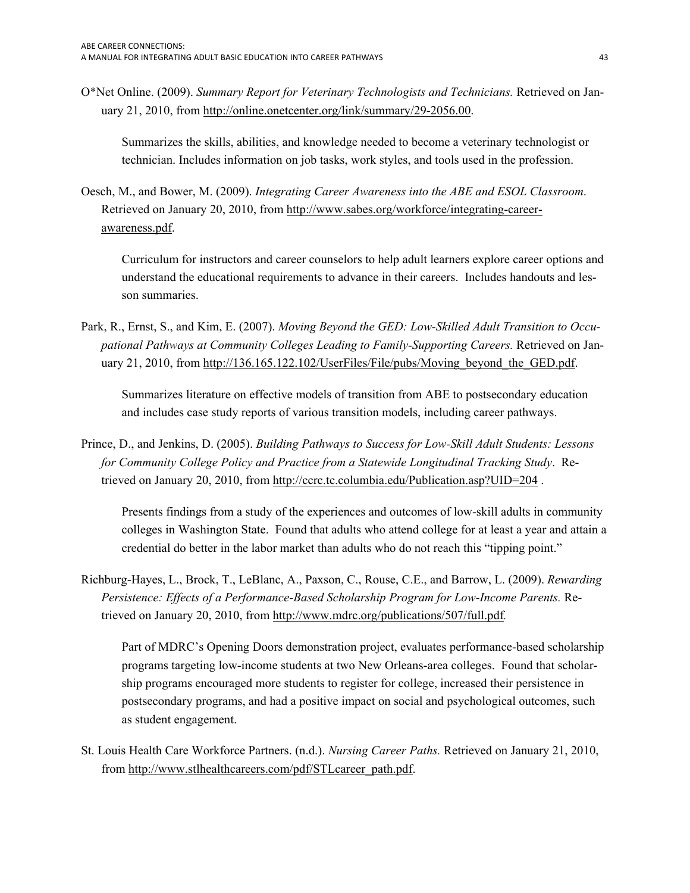O\*Net Online. (2009). *Summary Report for Veterinary Technologists and Technicians.* Retrieved on January 21, 2010, from [http://online.onetcenter.org/link/summary/29-2056.00.](http://online.onetcenter.org/link/summary/29-2056.00)

Summarizes the skills, abilities, and knowledge needed to become a veterinary technologist or technician. Includes information on job tasks, work styles, and tools used in the profession.

Oesch, M., and Bower, M. (2009). *Integrating Career Awareness into the ABE and ESOL Classroom*. Retrieved on January 20, 2010, from [http://www.sabes.org/workforce/integrating-career](http://www.sabes.org/workforce/integrating-career-awareness.pdf)[awareness.pdf.](http://www.sabes.org/workforce/integrating-career-awareness.pdf)

Curriculum for instructors and career counselors to help adult learners explore career options and understand the educational requirements to advance in their careers. Includes handouts and lesson summaries.

Park, R., Ernst, S., and Kim, E. (2007). *Moving Beyond the GED: Low-Skilled Adult Transition to Occupational Pathways at Community Colleges Leading to Family-Supporting Careers.* Retrieved on January 21, 2010, from http://136.165.122.102/UserFiles/File/pubs/Moving beyond the GED.pdf.

Summarizes literature on effective models of transition from ABE to postsecondary education and includes case study reports of various transition models, including career pathways.

Prince, D., and Jenkins, D. (2005). *Building Pathways to Success for Low-Skill Adult Students: Lessons for Community College Policy and Practice from a Statewide Longitudinal Tracking Study*. Retrieved on January 20, 2010, from<http://ccrc.tc.columbia.edu/Publication.asp?UID=204> .

Presents findings from a study of the experiences and outcomes of low-skill adults in community colleges in Washington State. Found that adults who attend college for at least a year and attain a credential do better in the labor market than adults who do not reach this "tipping point."

Richburg-Hayes, L., Brock, T., LeBlanc, A., Paxson, C., Rouse, C.E., and Barrow, L. (2009). *Rewarding Persistence: Effects of a Performance-Based Scholarship Program for Low-Income Parents.* Retrieved on January 20, 2010, from<http://www.mdrc.org/publications/507/full.pdf>*.* 

Part of MDRC's Opening Doors demonstration project, evaluates performance-based scholarship programs targeting low-income students at two New Orleans-area colleges. Found that scholarship programs encouraged more students to register for college, increased their persistence in postsecondary programs, and had a positive impact on social and psychological outcomes, such as student engagement.

St. Louis Health Care Workforce Partners. (n.d.). *Nursing Career Paths.* Retrieved on January 21, 2010, from [http://www.stlhealthcareers.com/pdf/STLcareer\\_path.pdf](http://www.stlhealthcareers.com/pdf/STLcareer_path.pdf).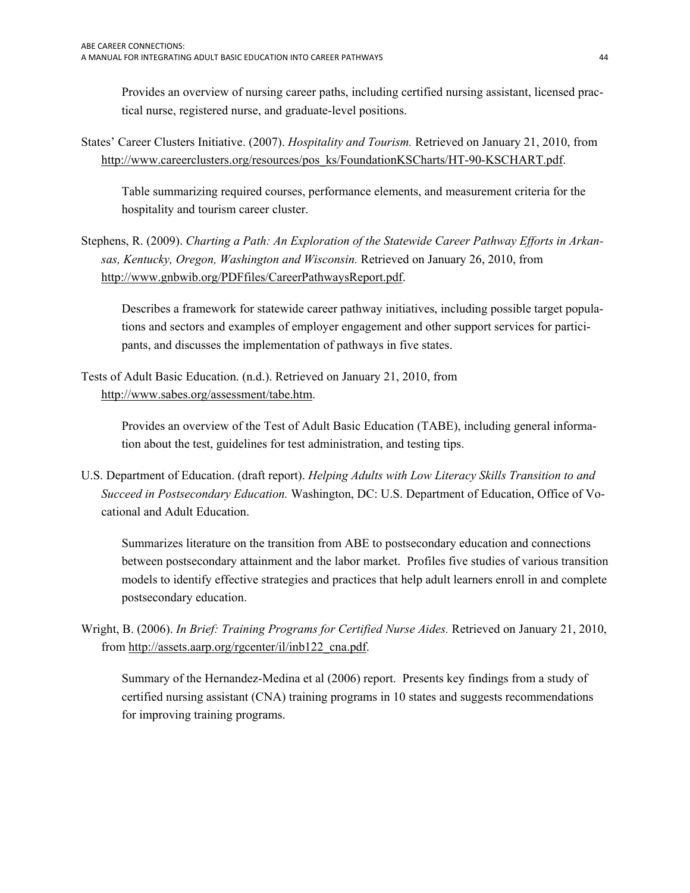Provides an overview of nursing career paths, including certified nursing assistant, licensed practical nurse, registered nurse, and graduate-level positions.

States' Career Clusters Initiative. (2007). *Hospitality and Tourism.* Retrieved on January 21, 2010, from [http://www.careerclusters.org/resources/pos\\_ks/FoundationKSCharts/HT-90-KSCHART.pdf.](http://www.careerclusters.org/resources/pos_ks/FoundationKSCharts/HT-90-KSCHART.pdf)

Table summarizing required courses, performance elements, and measurement criteria for the hospitality and tourism career cluster.

Stephens, R. (2009). *Charting a Path: An Exploration of the Statewide Career Pathway Efforts in Arkansas, Kentucky, Oregon, Washington and Wisconsin.* Retrieved on January 26, 2010, from <http://www.gnbwib.org/PDFfiles/CareerPathwaysReport.pdf>.

Describes a framework for statewide career pathway initiatives, including possible target populations and sectors and examples of employer engagement and other support services for participants, and discusses the implementation of pathways in five states.

Tests of Adult Basic Education. (n.d.). Retrieved on January 21, 2010, from <http://www.sabes.org/assessment/tabe.htm>.

> Provides an overview of the Test of Adult Basic Education (TABE), including general information about the test, guidelines for test administration, and testing tips.

U.S. Department of Education. (draft report). *Helping Adults with Low Literacy Skills Transition to and Succeed in Postsecondary Education.* Washington, DC: U.S. Department of Education, Office of Vocational and Adult Education.

Summarizes literature on the transition from ABE to postsecondary education and connections between postsecondary attainment and the labor market. Profiles five studies of various transition models to identify effective strategies and practices that help adult learners enroll in and complete postsecondary education.

Wright, B. (2006). *In Brief: Training Programs for Certified Nurse Aides.* Retrieved on January 21, 2010, from [http://assets.aarp.org/rgcenter/il/inb122\\_cna.pdf](http://assets.aarp.org/rgcenter/il/inb122_cna.pdf).

 Summary of the Hernandez-Medina et al (2006) report. Presents key findings from a study of certified nursing assistant (CNA) training programs in 10 states and suggests recommendations for improving training programs.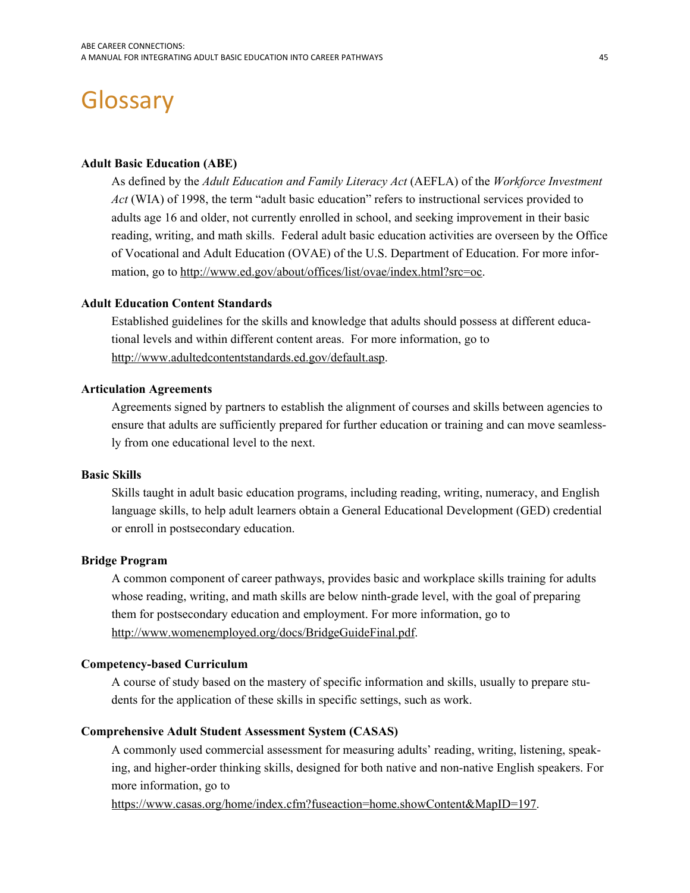# <span id="page-46-1"></span><span id="page-46-0"></span>**Glossary**

#### **Adult Basic Education (ABE)**

As defined by the *Adult Education and Family Literacy Act* (AEFLA) of the *Workforce Investment Act* (WIA) of 1998, the term "adult basic education" refers to instructional services provided to adults age 16 and older, not currently enrolled in school, and seeking improvement in their basic reading, writing, and math skills. Federal adult basic education activities are overseen by the Office of Vocational and Adult Education (OVAE) of the U.S. Department of Education. For more information, go to [http://www.ed.gov/about/offices/list/ovae/index.html?src=oc.](http://www.ed.gov/about/offices/list/ovae/index.html?src=oc)

#### **Adult Education Content Standards**

Established guidelines for the skills and knowledge that adults should possess at different educational levels and within different content areas. For more information, go to [http://www.adultedcontentstandards.ed.gov/default.asp.](http://www.adultedcontentstandards.ed.gov/default.asp)

#### **Articulation Agreements**

Agreements signed by partners to establish the alignment of courses and skills between agencies to ensure that adults are sufficiently prepared for further education or training and can move seamlessly from one educational level to the next.

#### **Basic Skills**

 or enroll in postsecondary education. Skills taught in adult basic education programs, including reading, writing, numeracy, and English language skills, to help adult learners obtain a General Educational Development (GED) credential

#### **Bridge Program**

A common component of career pathways, provides basic and workplace skills training for adults whose reading, writing, and math skills are below ninth-grade level, with the goal of preparing them for postsecondary education and employment. For more information, go to <http://www.womenemployed.org/docs/BridgeGuideFinal.pdf>.

#### **Competency-based Curriculum**

A course of study based on the mastery of specific information and skills, usually to prepare students for the application of these skills in specific settings, such as work.

#### **Comprehensive Adult Student Assessment System (CASAS)**

A commonly used commercial assessment for measuring adults' reading, writing, listening, speaking, and higher-order thinking skills, designed for both native and non-native English speakers. For more information, go to

<https://www.casas.org/home/index.cfm?fuseaction=home.showContent&MapID=197>.